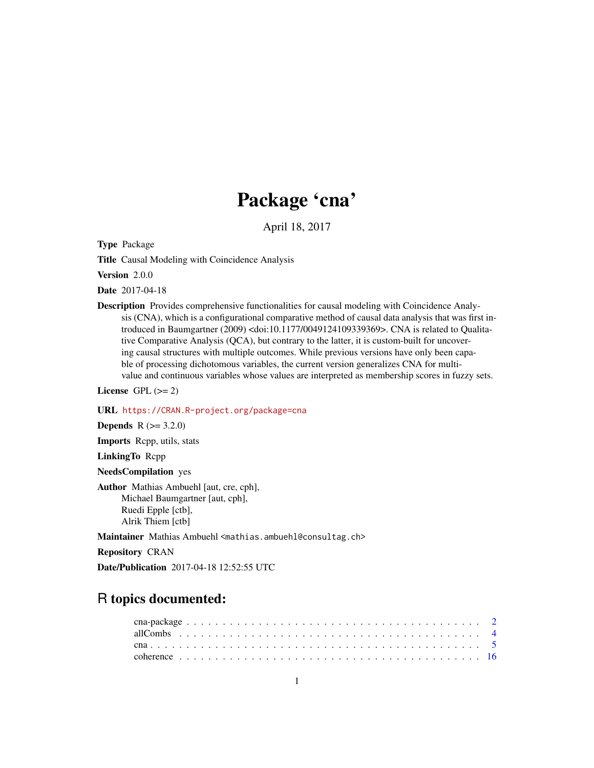# Package 'cna'

April 18, 2017

<span id="page-0-0"></span>Type Package

Title Causal Modeling with Coincidence Analysis

Version 2.0.0

Date 2017-04-18

Description Provides comprehensive functionalities for causal modeling with Coincidence Analysis (CNA), which is a configurational comparative method of causal data analysis that was first introduced in Baumgartner (2009) <doi:10.1177/0049124109339369>. CNA is related to Qualitative Comparative Analysis (QCA), but contrary to the latter, it is custom-built for uncovering causal structures with multiple outcomes. While previous versions have only been capable of processing dichotomous variables, the current version generalizes CNA for multivalue and continuous variables whose values are interpreted as membership scores in fuzzy sets.

License GPL  $(>= 2)$ 

URL <https://CRAN.R-project.org/package=cna>

**Depends**  $R (= 3.2.0)$ 

Imports Rcpp, utils, stats

LinkingTo Rcpp

NeedsCompilation yes

Author Mathias Ambuehl [aut, cre, cph], Michael Baumgartner [aut, cph], Ruedi Epple [ctb], Alrik Thiem [ctb]

Maintainer Mathias Ambuehl <mathias.ambuehl@consultag.ch>

Repository CRAN

Date/Publication 2017-04-18 12:52:55 UTC

# R topics documented: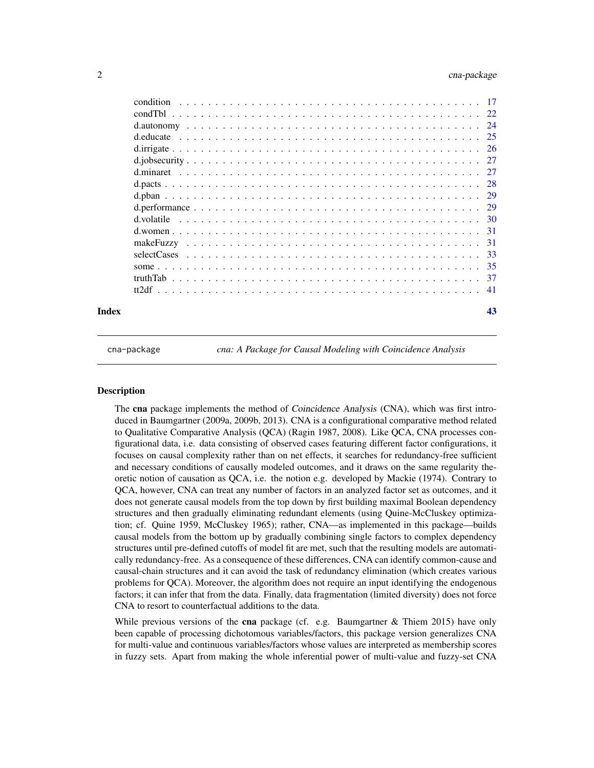<span id="page-1-0"></span>

| Index |           | 43 |
|-------|-----------|----|
|       |           |    |
|       |           |    |
|       |           |    |
|       |           |    |
|       |           |    |
|       |           |    |
|       |           |    |
|       |           |    |
|       |           |    |
|       |           |    |
|       |           |    |
|       |           |    |
|       |           |    |
|       |           |    |
|       |           |    |
|       |           |    |
|       | condition |    |

cna-package *cna: A Package for Causal Modeling with Coincidence Analysis*

# **Description**

The cna package implements the method of *Coincidence Analysis* (CNA), which was first introduced in Baumgartner (2009a, 2009b, 2013). CNA is a configurational comparative method related to Qualitative Comparative Analysis (QCA) (Ragin 1987, 2008). Like QCA, CNA processes configurational data, i.e. data consisting of observed cases featuring different factor configurations, it focuses on causal complexity rather than on net effects, it searches for redundancy-free sufficient and necessary conditions of causally modeled outcomes, and it draws on the same regularity theoretic notion of causation as QCA, i.e. the notion e.g. developed by Mackie (1974). Contrary to QCA, however, CNA can treat any number of factors in an analyzed factor set as outcomes, and it does not generate causal models from the top down by first building maximal Boolean dependency structures and then gradually eliminating redundant elements (using Quine-McCluskey optimization; cf. Quine 1959, McCluskey 1965); rather, CNA—as implemented in this package—builds causal models from the bottom up by gradually combining single factors to complex dependency structures until pre-defined cutoffs of model fit are met, such that the resulting models are automatically redundancy-free. As a consequence of these differences, CNA can identify common-cause and causal-chain structures and it can avoid the task of redundancy elimination (which creates various problems for QCA). Moreover, the algorithm does not require an input identifying the endogenous factors; it can infer that from the data. Finally, data fragmentation (limited diversity) does not force CNA to resort to counterfactual additions to the data.

While previous versions of the cna package (cf. e.g. Baumgartner  $\&$  Thiem 2015) have only been capable of processing dichotomous variables/factors, this package version generalizes CNA for multi-value and continuous variables/factors whose values are interpreted as membership scores in fuzzy sets. Apart from making the whole inferential power of multi-value and fuzzy-set CNA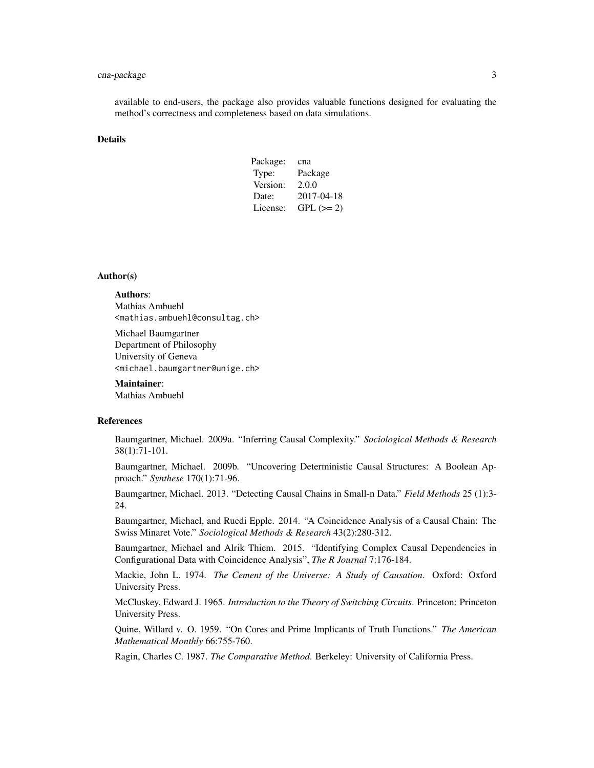# cna-package 3

available to end-users, the package also provides valuable functions designed for evaluating the method's correctness and completeness based on data simulations.

# Details

| Package: | cna        |
|----------|------------|
| Type:    | Package    |
| Version: | 2.0.0      |
| Date:    | 2017-04-18 |
| License: | $GPL (=2)$ |

# Author(s)

# Authors:

Mathias Ambuehl <mathias.ambuehl@consultag.ch>

Michael Baumgartner Department of Philosophy University of Geneva <michael.baumgartner@unige.ch>

Maintainer:

Mathias Ambuehl

# References

Baumgartner, Michael. 2009a. "Inferring Causal Complexity." *Sociological Methods & Research* 38(1):71-101.

Baumgartner, Michael. 2009b. "Uncovering Deterministic Causal Structures: A Boolean Approach." *Synthese* 170(1):71-96.

Baumgartner, Michael. 2013. "Detecting Causal Chains in Small-n Data." *Field Methods* 25 (1):3- 24.

Baumgartner, Michael, and Ruedi Epple. 2014. "A Coincidence Analysis of a Causal Chain: The Swiss Minaret Vote." *Sociological Methods & Research* 43(2):280-312.

Baumgartner, Michael and Alrik Thiem. 2015. "Identifying Complex Causal Dependencies in Configurational Data with Coincidence Analysis", *The R Journal* 7:176-184.

Mackie, John L. 1974. *The Cement of the Universe: A Study of Causation*. Oxford: Oxford University Press.

McCluskey, Edward J. 1965. *Introduction to the Theory of Switching Circuits*. Princeton: Princeton University Press.

Quine, Willard v. O. 1959. "On Cores and Prime Implicants of Truth Functions." *The American Mathematical Monthly* 66:755-760.

Ragin, Charles C. 1987. *The Comparative Method*. Berkeley: University of California Press.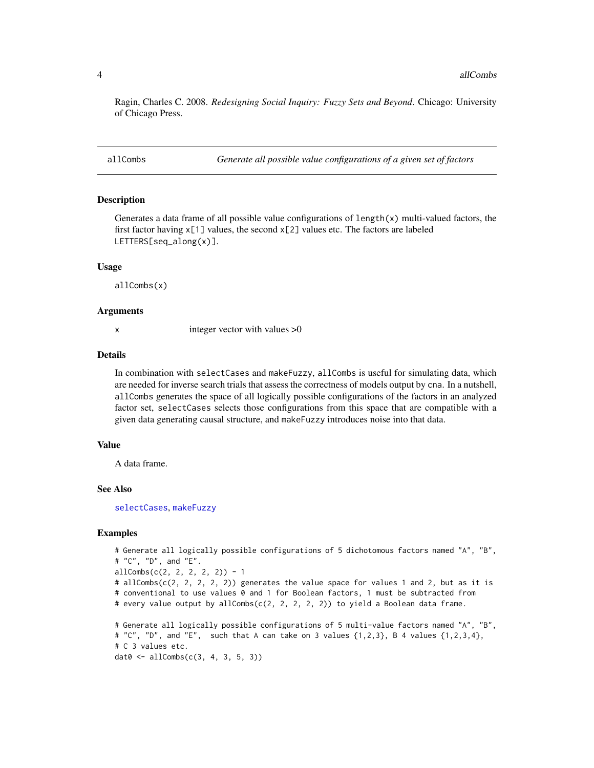<span id="page-3-0"></span>Ragin, Charles C. 2008. *Redesigning Social Inquiry: Fuzzy Sets and Beyond*. Chicago: University of Chicago Press.

<span id="page-3-1"></span>allCombs *Generate all possible value configurations of a given set of factors*

# **Description**

Generates a data frame of all possible value configurations of  $length(x)$  multi-valued factors, the first factor having  $x[1]$  values, the second  $x[2]$  values etc. The factors are labeled LETTERS[seq\_along(x)].

#### Usage

allCombs(x)

#### Arguments

x integer vector with values  $>0$ 

#### Details

In combination with selectCases and makeFuzzy, allCombs is useful for simulating data, which are needed for inverse search trials that assess the correctness of models output by cna. In a nutshell, allCombs generates the space of all logically possible configurations of the factors in an analyzed factor set, selectCases selects those configurations from this space that are compatible with a given data generating causal structure, and makeFuzzy introduces noise into that data.

# Value

A data frame.

# See Also

[selectCases](#page-32-1), [makeFuzzy](#page-30-1)

# Examples

```
# Generate all logically possible configurations of 5 dichotomous factors named "A", "B",
# "C", "D", and "E".
allCombs(c(2, 2, 2, 2, 2)) - 1# allCombs(c(2, 2, 2, 2, 2)) generates the value space for values 1 and 2, but as it is
# conventional to use values 0 and 1 for Boolean factors, 1 must be subtracted from
# every value output by allCombs(c(2, 2, 2, 2, 2)) to yield a Boolean data frame.
# Generate all logically possible configurations of 5 multi-value factors named "A", "B",
# "C", "D", and "E", such that A can take on 3 values \{1,2,3\}, B 4 values \{1,2,3,4\},
# C 3 values etc.
dat0 <- allCombs(c(3, 4, 3, 5, 3))
```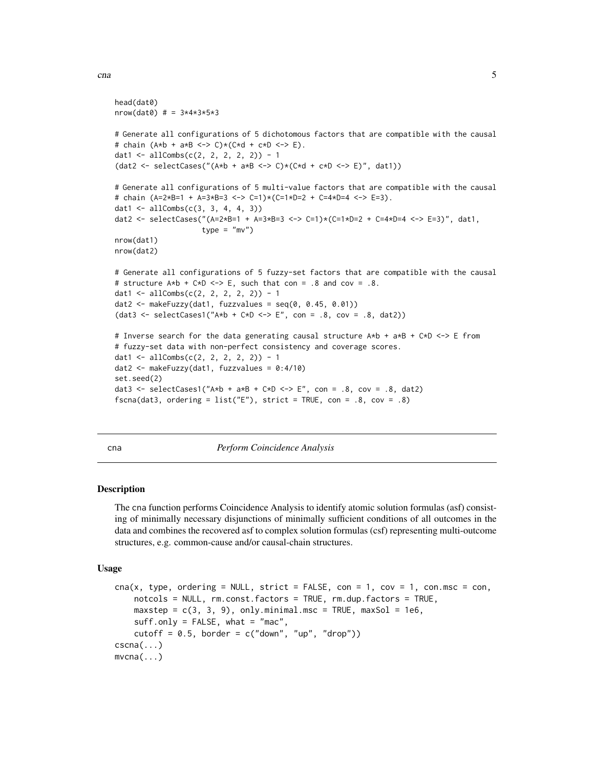```
head(dat0)
nrow(data) # = 3*4*3*5*3# Generate all configurations of 5 dichotomous factors that are compatible with the causal
# chain (A*b + a*B <-> C)*(C*d + c*D <-> E).
dat1 <- allCombs(c(2, 2, 2, 2, 2)) - 1
(dat2 <- selectCases("(A*b + a*B \iff C\ast C) * (C*d + c*D \iff E)", dat1))
# Generate all configurations of 5 multi-value factors that are compatible with the causal
# chain (A=2*B=1 + A=3*B=3 <-> C=1)*(C=1*D=2 + C=4*D=4 <-> E=3).
dat1 <- allCombs(c(3, 3, 4, 4, 3))
dat2 <- selectCases("(A=2*B=1 + A=3*B=3 <-> C=1)*(C=1*D=2 + C=4*D=4 <-> E=3)", dat1,
                    type = "mv")
nrow(dat1)
nrow(dat2)
# Generate all configurations of 5 fuzzy-set factors that are compatible with the causal
# structure A*b + C*D \le b = \ge E, such that con = .8 and cov = .8.
dat1 <- allCombs(c(2, 2, 2, 2, 2)) - 1
dat2 <- makeFuzzy(dat1, fuzzvalues = seq(0, 0.45, 0.01))
(data < - selectCase1("A*b + C*D &lt;-&gt; E", con = .8, cov = .8, dat2))# Inverse search for the data generating causal structure A*b + a*B + C*D <-> E from
# fuzzy-set data with non-perfect consistency and coverage scores.
dat1 <- allCombs(c(2, 2, 2, 2, 2)) - 1
dat2 <- makeFuzzy(dat1, fuzzvalues = 0:4/10)
set.seed(2)
dat3 <- selectCases1("A*b + a*B + C*D <-> E", con = .8, cov = .8, dat2)
fscna(dat3, ordering = list("E"), strict = TRUE, con = .8, cov = .8)
```
<span id="page-4-1"></span>

# cna *Perform Coincidence Analysis*

# Description

The cna function performs Coincidence Analysis to identify atomic solution formulas (asf) consisting of minimally necessary disjunctions of minimally sufficient conditions of all outcomes in the data and combines the recovered asf to complex solution formulas (csf) representing multi-outcome structures, e.g. common-cause and/or causal-chain structures.

#### Usage

```
\text{cna}(x, \text{ type}, \text{ ordering} = \text{NULL}, \text{ strict} = \text{FALSE}, \text{ con} = 1, \text{ cov} = 1, \text{ con}.\text{msc} = \text{con},notcols = NULL, rm.const.factors = TRUE, rm.dup.factors = TRUE,
     maxstep = c(3, 3, 9), only.minimal.msc = TRUE, maxSol = 1e6,
     suff-only = FALSE, what = "mac",cutoff = 0.5, border = c("down", "up", "drop"))cscna(...)
mvcna(...)
```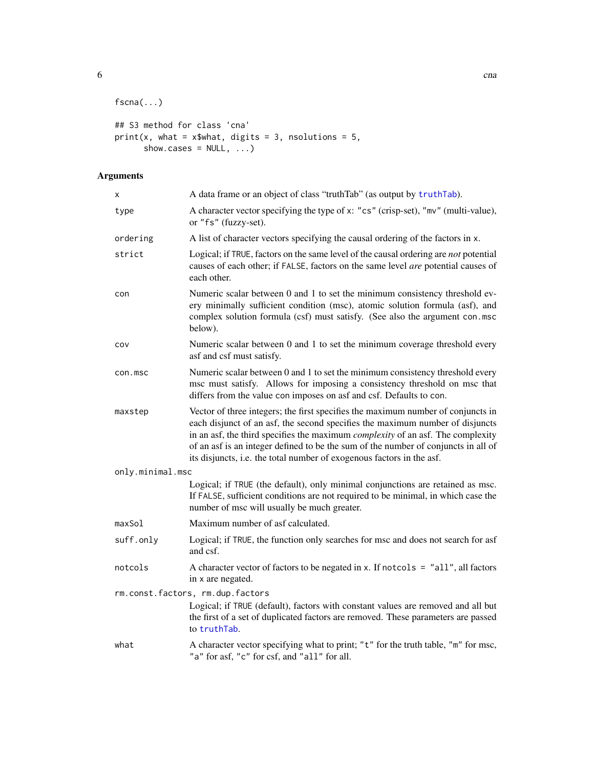```
fscna(...)
## S3 method for class 'cna'
print(x, what = x$what, digits = 3, nsolutions = 5,
```
show.cases =  $NULL, ...)$ 

# Arguments

| x                | A data frame or an object of class "truthTab" (as output by truthTab).                                                                                                                                                                                                                                                                                                                                                     |
|------------------|----------------------------------------------------------------------------------------------------------------------------------------------------------------------------------------------------------------------------------------------------------------------------------------------------------------------------------------------------------------------------------------------------------------------------|
| type             | A character vector specifying the type of x: "cs" (crisp-set), "mv" (multi-value),<br>or "fs" (fuzzy-set).                                                                                                                                                                                                                                                                                                                 |
| ordering         | A list of character vectors specifying the causal ordering of the factors in x.                                                                                                                                                                                                                                                                                                                                            |
| strict           | Logical; if TRUE, factors on the same level of the causal ordering are not potential<br>causes of each other; if FALSE, factors on the same level are potential causes of<br>each other.                                                                                                                                                                                                                                   |
| con              | Numeric scalar between 0 and 1 to set the minimum consistency threshold ev-<br>ery minimally sufficient condition (msc), atomic solution formula (asf), and<br>complex solution formula (csf) must satisfy. (See also the argument con.msc<br>below).                                                                                                                                                                      |
| COV              | Numeric scalar between 0 and 1 to set the minimum coverage threshold every<br>asf and csf must satisfy.                                                                                                                                                                                                                                                                                                                    |
| con.msc          | Numeric scalar between 0 and 1 to set the minimum consistency threshold every<br>msc must satisfy. Allows for imposing a consistency threshold on msc that<br>differs from the value con imposes on asf and csf. Defaults to con.                                                                                                                                                                                          |
| maxstep          | Vector of three integers; the first specifies the maximum number of conjuncts in<br>each disjunct of an asf, the second specifies the maximum number of disjuncts<br>in an asf, the third specifies the maximum <i>complexity</i> of an asf. The complexity<br>of an asf is an integer defined to be the sum of the number of conjuncts in all of<br>its disjuncts, i.e. the total number of exogenous factors in the asf. |
| only.minimal.msc |                                                                                                                                                                                                                                                                                                                                                                                                                            |
|                  | Logical; if TRUE (the default), only minimal conjunctions are retained as msc.<br>If FALSE, sufficient conditions are not required to be minimal, in which case the<br>number of msc will usually be much greater.                                                                                                                                                                                                         |
| maxSol           | Maximum number of asf calculated.                                                                                                                                                                                                                                                                                                                                                                                          |
| suff.only        | Logical; if TRUE, the function only searches for msc and does not search for asf<br>and csf.                                                                                                                                                                                                                                                                                                                               |
| notcols          | A character vector of factors to be negated in x. If notcols = $"all", all factors$<br>in x are negated.                                                                                                                                                                                                                                                                                                                   |
|                  | rm.const.factors, rm.dup.factors<br>Logical; if TRUE (default), factors with constant values are removed and all but<br>the first of a set of duplicated factors are removed. These parameters are passed<br>to truthTab.                                                                                                                                                                                                  |
| what             | A character vector specifying what to print; "t" for the truth table, "m" for msc,<br>"a" for asf, "c" for csf, and "all" for all.                                                                                                                                                                                                                                                                                         |

<span id="page-5-0"></span>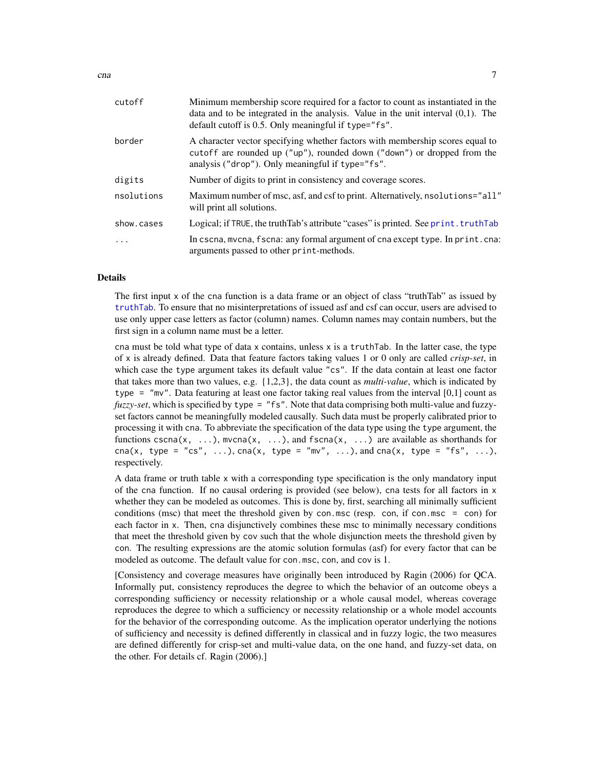<span id="page-6-0"></span>

| cutoff     | Minimum membership score required for a factor to count as instantiated in the<br>data and to be integrated in the analysis. Value in the unit interval $(0,1)$ . The<br>default cutoff is 0.5. Only meaningful if type="fs". |
|------------|-------------------------------------------------------------------------------------------------------------------------------------------------------------------------------------------------------------------------------|
| border     | A character vector specifying whether factors with membership scores equal to<br>cutoff are rounded up ("up"), rounded down ("down") or dropped from the<br>analysis ("drop"). Only meaningful if type="fs".                  |
| digits     | Number of digits to print in consistency and coverage scores.                                                                                                                                                                 |
| nsolutions | Maximum number of msc, asf, and csf to print. Alternatively, nsolutions="all"<br>will print all solutions.                                                                                                                    |
| show.cases | Logical; if TRUE, the truthTab's attribute "cases" is printed. See print. truthTab                                                                                                                                            |
| $\cdot$    | In cscna, mvcna, fscna: any formal argument of cna except type. In print.cna:<br>arguments passed to other print-methods.                                                                                                     |

# Details

The first input x of the cna function is a data frame or an object of class "truthTab" as issued by [truthTab](#page-36-1). To ensure that no misinterpretations of issued asf and csf can occur, users are advised to use only upper case letters as factor (column) names. Column names may contain numbers, but the first sign in a column name must be a letter.

cna must be told what type of data x contains, unless x is a truthTab. In the latter case, the type of x is already defined. Data that feature factors taking values 1 or 0 only are called *crisp-set*, in which case the type argument takes its default value "cs". If the data contain at least one factor that takes more than two values, e.g. {1,2,3}, the data count as *multi-value*, which is indicated by type = "mv". Data featuring at least one factor taking real values from the interval  $[0,1]$  count as *fuzzy-set*, which is specified by type = "fs". Note that data comprising both multi-value and fuzzyset factors cannot be meaningfully modeled causally. Such data must be properly calibrated prior to processing it with cna. To abbreviate the specification of the data type using the type argument, the functions cscna(x, ...), mvcna(x, ...), and fscna(x, ...) are available as shorthands for cna(x, type = "cs", ...), cna(x, type = "mv", ...), and cna(x, type = "fs", ...), respectively.

A data frame or truth table x with a corresponding type specification is the only mandatory input of the cna function. If no causal ordering is provided (see below), cna tests for all factors in x whether they can be modeled as outcomes. This is done by, first, searching all minimally sufficient conditions (msc) that meet the threshold given by con.msc (resp. con, if con.msc = con) for each factor in x. Then, cna disjunctively combines these msc to minimally necessary conditions that meet the threshold given by cov such that the whole disjunction meets the threshold given by con. The resulting expressions are the atomic solution formulas (asf) for every factor that can be modeled as outcome. The default value for con.msc, con, and cov is 1.

[Consistency and coverage measures have originally been introduced by Ragin (2006) for QCA. Informally put, consistency reproduces the degree to which the behavior of an outcome obeys a corresponding sufficiency or necessity relationship or a whole causal model, whereas coverage reproduces the degree to which a sufficiency or necessity relationship or a whole model accounts for the behavior of the corresponding outcome. As the implication operator underlying the notions of sufficiency and necessity is defined differently in classical and in fuzzy logic, the two measures are defined differently for crisp-set and multi-value data, on the one hand, and fuzzy-set data, on the other. For details cf. Ragin (2006).]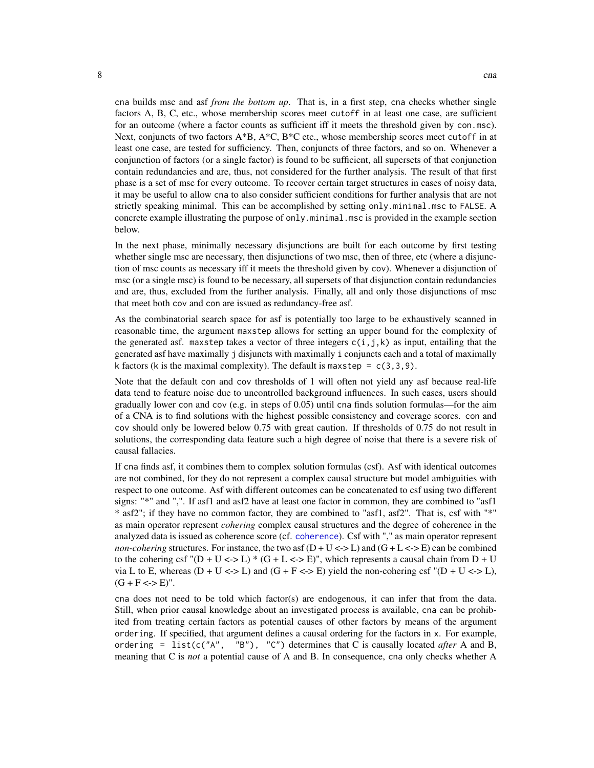<span id="page-7-0"></span>cna builds msc and asf *from the bottom up*. That is, in a first step, cna checks whether single factors A, B, C, etc., whose membership scores meet cutoff in at least one case, are sufficient for an outcome (where a factor counts as sufficient iff it meets the threshold given by con.msc). Next, conjuncts of two factors  $A*B$ ,  $A*C$ ,  $B*C$  etc., whose membership scores meet cutoff in at least one case, are tested for sufficiency. Then, conjuncts of three factors, and so on. Whenever a conjunction of factors (or a single factor) is found to be sufficient, all supersets of that conjunction contain redundancies and are, thus, not considered for the further analysis. The result of that first phase is a set of msc for every outcome. To recover certain target structures in cases of noisy data, it may be useful to allow cna to also consider sufficient conditions for further analysis that are not strictly speaking minimal. This can be accomplished by setting only.minimal.msc to FALSE. A concrete example illustrating the purpose of only.minimal.msc is provided in the example section below.

In the next phase, minimally necessary disjunctions are built for each outcome by first testing whether single msc are necessary, then disjunctions of two msc, then of three, etc (where a disjunction of msc counts as necessary iff it meets the threshold given by cov). Whenever a disjunction of msc (or a single msc) is found to be necessary, all supersets of that disjunction contain redundancies and are, thus, excluded from the further analysis. Finally, all and only those disjunctions of msc that meet both cov and con are issued as redundancy-free asf.

As the combinatorial search space for asf is potentially too large to be exhaustively scanned in reasonable time, the argument maxstep allows for setting an upper bound for the complexity of the generated asf. maxstep takes a vector of three integers  $c(i, j, k)$  as input, entailing that the generated asf have maximally j disjuncts with maximally i conjuncts each and a total of maximally k factors (k is the maximal complexity). The default is maxstep =  $c(3,3,9)$ .

Note that the default con and cov thresholds of 1 will often not yield any asf because real-life data tend to feature noise due to uncontrolled background influences. In such cases, users should gradually lower con and cov (e.g. in steps of 0.05) until cna finds solution formulas—for the aim of a CNA is to find solutions with the highest possible consistency and coverage scores. con and cov should only be lowered below 0.75 with great caution. If thresholds of 0.75 do not result in solutions, the corresponding data feature such a high degree of noise that there is a severe risk of causal fallacies.

If cna finds asf, it combines them to complex solution formulas (csf). Asf with identical outcomes are not combined, for they do not represent a complex causal structure but model ambiguities with respect to one outcome. Asf with different outcomes can be concatenated to csf using two different signs: "\*" and ",". If asf1 and asf2 have at least one factor in common, they are combined to "asf1 \* asf2"; if they have no common factor, they are combined to "asf1, asf2". That is, csf with "\*" as main operator represent *cohering* complex causal structures and the degree of coherence in the analyzed data is issued as coherence score (cf. [coherence](#page-15-1)). Csf with "," as main operator represent *non-cohering* structures. For instance, the two asf  $(D + U \le D)$  and  $(G + L \le D)$  can be combined to the cohering csf "(D + U <-> L) \* (G + L <-> E)", which represents a causal chain from D + U via L to E, whereas  $(D + U \le D L)$  and  $(G + F \le D E)$  yield the non-cohering csf " $(D + U \le D L)$ ,  $(G + F \leq D)$ ".

cna does not need to be told which factor(s) are endogenous, it can infer that from the data. Still, when prior causal knowledge about an investigated process is available, cna can be prohibited from treating certain factors as potential causes of other factors by means of the argument ordering. If specified, that argument defines a causal ordering for the factors in x. For example, ordering = list(c("A", "B"), "C") determines that C is causally located *after* A and B, meaning that C is *not* a potential cause of A and B. In consequence, cna only checks whether A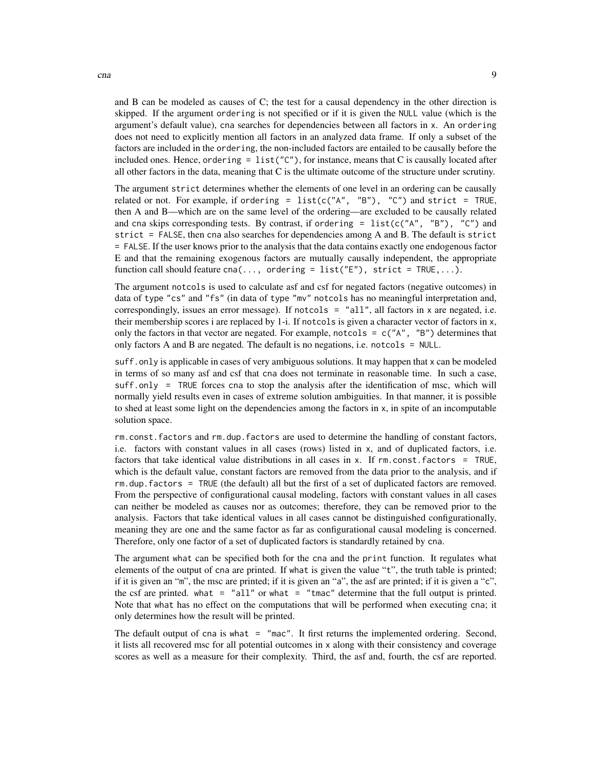and B can be modeled as causes of C; the test for a causal dependency in the other direction is skipped. If the argument ordering is not specified or if it is given the NULL value (which is the argument's default value), cna searches for dependencies between all factors in x. An ordering does not need to explicitly mention all factors in an analyzed data frame. If only a subset of the factors are included in the ordering, the non-included factors are entailed to be causally before the included ones. Hence, ordering =  $list("C")$ , for instance, means that C is causally located after all other factors in the data, meaning that C is the ultimate outcome of the structure under scrutiny.

The argument strict determines whether the elements of one level in an ordering can be causally related or not. For example, if ordering = list(c("A", "B"), "C") and strict = TRUE, then A and B—which are on the same level of the ordering—are excluded to be causally related and cna skips corresponding tests. By contrast, if ordering = list( $c("A", "B")$ , "C") and strict = FALSE, then cna also searches for dependencies among A and B. The default is strict = FALSE. If the user knows prior to the analysis that the data contains exactly one endogenous factor E and that the remaining exogenous factors are mutually causally independent, the appropriate function call should feature cna(..., ordering = list("E"), strict = TRUE,...).

The argument notcols is used to calculate asf and csf for negated factors (negative outcomes) in data of type "cs" and "fs" (in data of type "mv" notcols has no meaningful interpretation and, correspondingly, issues an error message). If notcols = "all", all factors in x are negated, i.e. their membership scores i are replaced by 1-i. If notcols is given a character vector of factors in x, only the factors in that vector are negated. For example, notcols =  $c("A", "B")$  determines that only factors A and B are negated. The default is no negations, i.e. notcols = NULL.

suff.only is applicable in cases of very ambiguous solutions. It may happen that x can be modeled in terms of so many asf and csf that cna does not terminate in reasonable time. In such a case, suff.only = TRUE forces cna to stop the analysis after the identification of msc, which will normally yield results even in cases of extreme solution ambiguities. In that manner, it is possible to shed at least some light on the dependencies among the factors in x, in spite of an incomputable solution space.

rm.const.factors and rm.dup.factors are used to determine the handling of constant factors, i.e. factors with constant values in all cases (rows) listed in x, and of duplicated factors, i.e. factors that take identical value distributions in all cases in x. If rm.const.factors = TRUE, which is the default value, constant factors are removed from the data prior to the analysis, and if rm.dup.factors = TRUE (the default) all but the first of a set of duplicated factors are removed. From the perspective of configurational causal modeling, factors with constant values in all cases can neither be modeled as causes nor as outcomes; therefore, they can be removed prior to the analysis. Factors that take identical values in all cases cannot be distinguished configurationally, meaning they are one and the same factor as far as configurational causal modeling is concerned. Therefore, only one factor of a set of duplicated factors is standardly retained by cna.

The argument what can be specified both for the cna and the print function. It regulates what elements of the output of cna are printed. If what is given the value "t", the truth table is printed; if it is given an "m", the msc are printed; if it is given an "a", the asf are printed; if it is given a "c", the csf are printed. what = "all" or what = "tmac" determine that the full output is printed. Note that what has no effect on the computations that will be performed when executing cna; it only determines how the result will be printed.

The default output of cna is what = "mac". It first returns the implemented ordering. Second, it lists all recovered msc for all potential outcomes in x along with their consistency and coverage scores as well as a measure for their complexity. Third, the asf and, fourth, the csf are reported.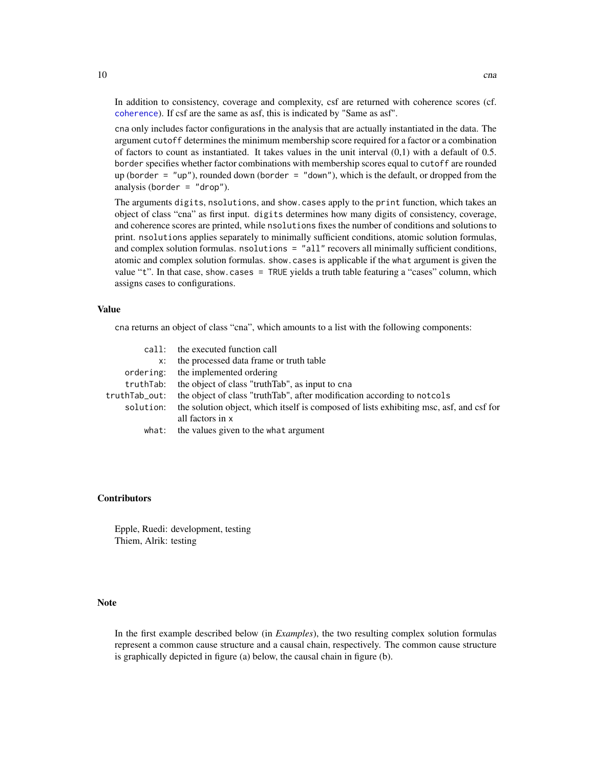In addition to consistency, coverage and complexity, csf are returned with coherence scores (cf. [coherence](#page-15-1)). If csf are the same as asf, this is indicated by "Same as asf".

cna only includes factor configurations in the analysis that are actually instantiated in the data. The argument cutoff determines the minimum membership score required for a factor or a combination of factors to count as instantiated. It takes values in the unit interval  $(0,1)$  with a default of 0.5. border specifies whether factor combinations with membership scores equal to cutoff are rounded up (border = "up"), rounded down (border = "down"), which is the default, or dropped from the analysis (border =  $"drop"$ ).

The arguments digits, nsolutions, and show.cases apply to the print function, which takes an object of class "cna" as first input. digits determines how many digits of consistency, coverage, and coherence scores are printed, while nsolutions fixes the number of conditions and solutions to print. nsolutions applies separately to minimally sufficient conditions, atomic solution formulas, and complex solution formulas. nsolutions = "all" recovers all minimally sufficient conditions, atomic and complex solution formulas. show.cases is applicable if the what argument is given the value "t". In that case, show.cases = TRUE yields a truth table featuring a "cases" column, which assigns cases to configurations.

#### Value

cna returns an object of class "cna", which amounts to a list with the following components:

|               | call: the executed function call                                                                  |
|---------------|---------------------------------------------------------------------------------------------------|
| X:            | the processed data frame or truth table                                                           |
|               | ordering: the implemented ordering                                                                |
| truthTab:     | the object of class "truth Tab", as input to cna                                                  |
| truthTab_out: | the object of class "truthTab", after modification according to not cols                          |
|               | solution: the solution object, which itself is composed of lists exhibiting msc, asf, and csf for |
|               | all factors in x                                                                                  |
| what:         | the values given to the what argument                                                             |

# Contributors

Epple, Ruedi: development, testing Thiem, Alrik: testing

# Note

In the first example described below (in *Examples*), the two resulting complex solution formulas represent a common cause structure and a causal chain, respectively. The common cause structure is graphically depicted in figure (a) below, the causal chain in figure (b).

<span id="page-9-0"></span>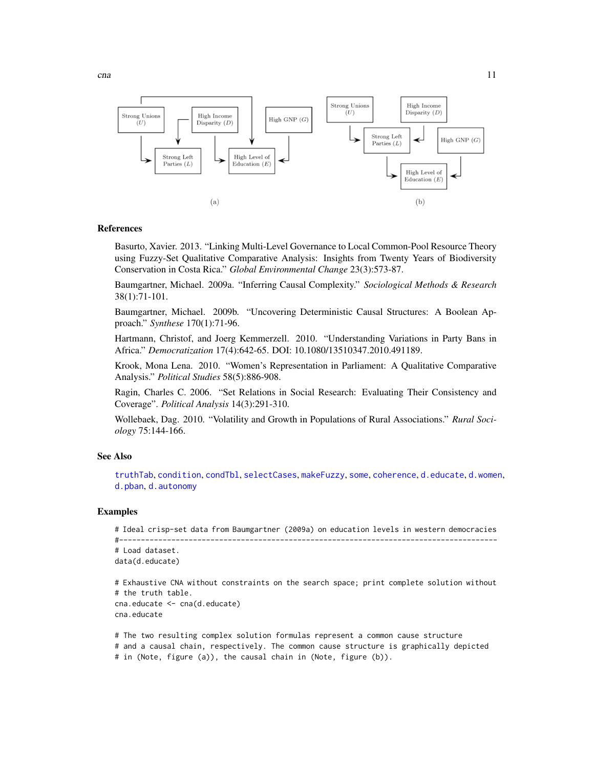

<span id="page-10-0"></span>

# References

Basurto, Xavier. 2013. "Linking Multi-Level Governance to Local Common-Pool Resource Theory using Fuzzy-Set Qualitative Comparative Analysis: Insights from Twenty Years of Biodiversity Conservation in Costa Rica." *Global Environmental Change* 23(3):573-87.

Baumgartner, Michael. 2009a. "Inferring Causal Complexity." *Sociological Methods & Research* 38(1):71-101.

Baumgartner, Michael. 2009b. "Uncovering Deterministic Causal Structures: A Boolean Approach." *Synthese* 170(1):71-96.

Hartmann, Christof, and Joerg Kemmerzell. 2010. "Understanding Variations in Party Bans in Africa." *Democratization* 17(4):642-65. DOI: 10.1080/13510347.2010.491189.

Krook, Mona Lena. 2010. "Women's Representation in Parliament: A Qualitative Comparative Analysis." *Political Studies* 58(5):886-908.

Ragin, Charles C. 2006. "Set Relations in Social Research: Evaluating Their Consistency and Coverage". *Political Analysis* 14(3):291-310.

Wollebaek, Dag. 2010. "Volatility and Growth in Populations of Rural Associations." *Rural Sociology* 75:144-166.

#### See Also

[truthTab](#page-36-1), [condition](#page-16-1), [condTbl](#page-21-1), [selectCases](#page-32-1), [makeFuzzy](#page-30-1), [some](#page-34-1), [coherence](#page-15-1), [d.educate](#page-24-1), [d.women](#page-30-2), [d.pban](#page-28-1), [d.autonomy](#page-23-1)

# Examples

```
# Ideal crisp-set data from Baumgartner (2009a) on education levels in western democracies
#---------------------------------------------------------------------------------------
# Load dataset.
data(d.educate)
```

```
# Exhaustive CNA without constraints on the search space; print complete solution without
# the truth table.
cna.educate <- cna(d.educate)
cna.educate
```

```
# The two resulting complex solution formulas represent a common cause structure
# and a causal chain, respectively. The common cause structure is graphically depicted
# in (Note, figure (a)), the causal chain in (Note, figure (b)).
```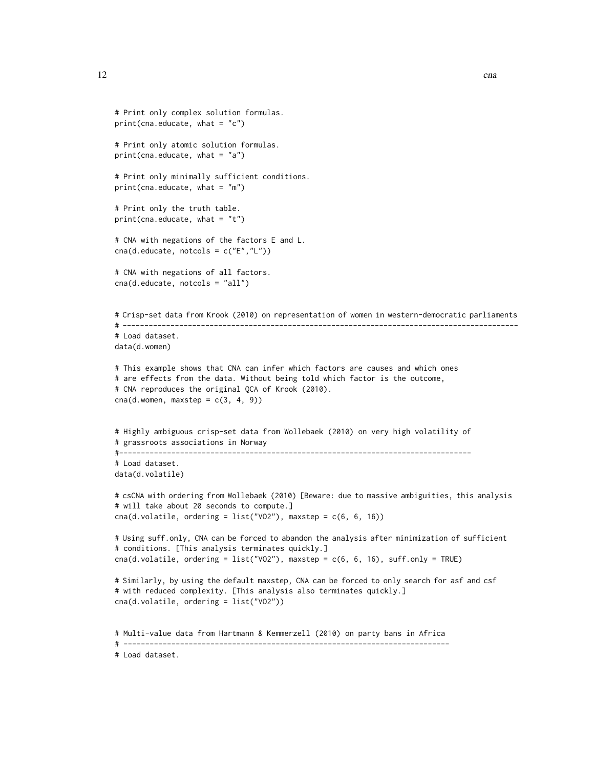```
# Print only complex solution formulas.
print(cna.educate, what = "c")
# Print only atomic solution formulas.
print(\text{cna}.educate, what = "a")
# Print only minimally sufficient conditions.
print(\text{cna}.educate, what = "m")
# Print only the truth table.
print(\text{cna.educate}, \text{what} = "t")# CNA with negations of the factors E and L.
cna(d.educate, notcols = c("E", "L"))# CNA with negations of all factors.
cna(d.educate, notcols = "all")
# Crisp-set data from Krook (2010) on representation of women in western-democratic parliaments
# -------------------------------------------------------------------------------------------
# Load dataset.
data(d.women)
# This example shows that CNA can infer which factors are causes and which ones
# are effects from the data. Without being told which factor is the outcome,
# CNA reproduces the original QCA of Krook (2010).
cna(d.women, maxstep = c(3, 4, 9))# Highly ambiguous crisp-set data from Wollebaek (2010) on very high volatility of
# grassroots associations in Norway
#---------------------------------------------------------------------------------
# Load dataset.
data(d.volatile)
# csCNA with ordering from Wollebaek (2010) [Beware: due to massive ambiguities, this analysis
# will take about 20 seconds to compute.]
cna(d.volatile, ordering = list("VO2"), maxstep = c(6, 6, 16))
# Using suff.only, CNA can be forced to abandon the analysis after minimization of sufficient
# conditions. [This analysis terminates quickly.]
cna(d.volatile, ordering = list("VO2"), maxstep = c(6, 6, 16), suff.only = TRUE)
# Similarly, by using the default maxstep, CNA can be forced to only search for asf and csf
# with reduced complexity. [This analysis also terminates quickly.]
cna(d.volatile, ordering = list("VO2"))
# Multi-value data from Hartmann & Kemmerzell (2010) on party bans in Africa
# ---------------------------------------------------------------------------
# Load dataset.
```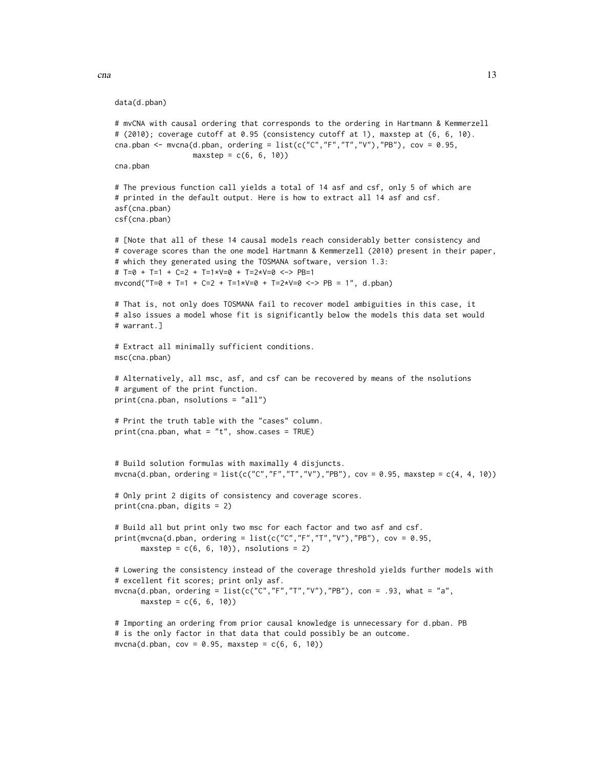data(d.pban)

```
# mvCNA with causal ordering that corresponds to the ordering in Hartmann & Kemmerzell
# (2010); coverage cutoff at 0.95 (consistency cutoff at 1), maxstep at (6, 6, 10).
cna.pban <- mvcna(d.pban, ordering = list(c("C","F","T","V"),"PB"), cov = 0.95,
                 maxstep = c(6, 6, 10)cna.pban
# The previous function call yields a total of 14 asf and csf, only 5 of which are
# printed in the default output. Here is how to extract all 14 asf and csf.
asf(cna.pban)
csf(cna.pban)
# [Note that all of these 14 causal models reach considerably better consistency and
# coverage scores than the one model Hartmann & Kemmerzell (2010) present in their paper,
# which they generated using the TOSMANA software, version 1.3:
# T=0 + T=1 + C=2 + T=1*V=0 + T=2*V=0 <-> PB=1
mvcond("T=0 + T=1 + C=2 + T=1*V=0 + T=2*V=0 <-> PB = 1", d.pban)
# That is, not only does TOSMANA fail to recover model ambiguities in this case, it
# also issues a model whose fit is significantly below the models this data set would
# warrant.]
# Extract all minimally sufficient conditions.
msc(cna.pban)
# Alternatively, all msc, asf, and csf can be recovered by means of the nsolutions
# argument of the print function.
print(cna.pban, nsolutions = "all")
# Print the truth table with the "cases" column.
print(\text{cna}.pban, what = "t", show.cases = TRUE)# Build solution formulas with maximally 4 disjuncts.
mvcna(d.pban, ordering = list(c("C","F","T","V"),"PB"), cov = 0.95, maxstep = c(4, 4, 10))
# Only print 2 digits of consistency and coverage scores.
print(cna.pban, digits = 2)
# Build all but print only two msc for each factor and two asf and csf.
print(mvcna(d.pban, ordering = list(c("C","F","T","V"),"PB"), cov = 0.95,
      maxstep = c(6, 6, 10), nsolutions = 2)
# Lowering the consistency instead of the coverage threshold yields further models with
# excellent fit scores; print only asf.
mvcna(d.pban, ordering = list(c("C","F","T","V"),"PB"), con = .93, what = "a",
      maxstep = c(6, 6, 10)# Importing an ordering from prior causal knowledge is unnecessary for d.pban. PB
# is the only factor in that data that could possibly be an outcome.
mvcna(d.pban, cov = 0.95, maxstep = c(6, 6, 10))
```
 $cna$  and  $13$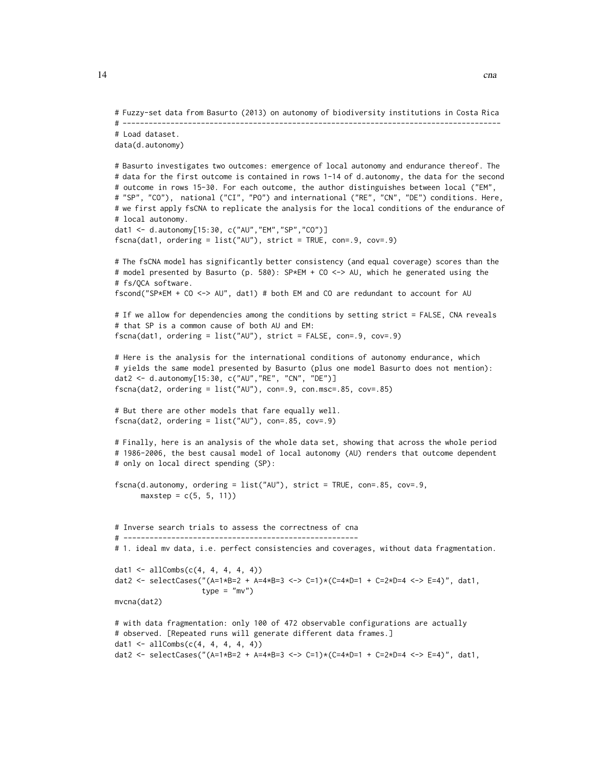```
# Fuzzy-set data from Basurto (2013) on autonomy of biodiversity institutions in Costa Rica
# ---------------------------------------------------------------------------------------
# Load dataset.
data(d.autonomy)
# Basurto investigates two outcomes: emergence of local autonomy and endurance thereof. The
# data for the first outcome is contained in rows 1-14 of d.autonomy, the data for the second
# outcome in rows 15-30. For each outcome, the author distinguishes between local ("EM",
# "SP", "CO"), national ("CI", "PO") and international ("RE", "CN", "DE") conditions. Here,
# we first apply fsCNA to replicate the analysis for the local conditions of the endurance of
# local autonomy.
dat1 <- d.autonomy[15:30, c("AU","EM","SP","CO")]
fscna(dat1, ordering = list("AU"), strict = TRUE, con=.9, cov=.9)
# The fsCNA model has significantly better consistency (and equal coverage) scores than the
# model presented by Basurto (p. 580): SP*EM + CO <-> AU, which he generated using the
# fs/QCA software.
fscond("SP*EM + CO <-> AU", dat1) # both EM and CO are redundant to account for AU
# If we allow for dependencies among the conditions by setting strict = FALSE, CNA reveals
# that SP is a common cause of both AU and EM:
fscna(dat1, ordering = list("AU"), strict = FALSE, con=.9, cov=.9)
# Here is the analysis for the international conditions of autonomy endurance, which
# yields the same model presented by Basurto (plus one model Basurto does not mention):
dat2 <- d.autonomy[15:30, c("AU","RE", "CN", "DE")]
fscna(dat2, ordering = list("AU"), con=.9, con.msc=.85, cov=.85)
# But there are other models that fare equally well.
fscna(dat2, ordering = list("AU"), con=.85, cov=.9)
# Finally, here is an analysis of the whole data set, showing that across the whole period
# 1986-2006, the best causal model of local autonomy (AU) renders that outcome dependent
# only on local direct spending (SP):
fscna(d.autonomy, ordering = list("AU"), strict = TRUE, con=.85, cov=.9,
     maxstep = c(5, 5, 11)# Inverse search trials to assess the correctness of cna
# ------------------------------------------------------
# 1. ideal mv data, i.e. perfect consistencies and coverages, without data fragmentation.
dat1 <- allCombs(c(4, 4, 4, 4, 4))dat2 <- selectCases("(A=1*B=2 + A=4*B=3 <-> C=1)*(C=4*D=1 + C=2*D=4 <-> E=4)", dat1,
                    type = "mv")
mvcna(dat2)
# with data fragmentation: only 100 of 472 observable configurations are actually
# observed. [Repeated runs will generate different data frames.]
dat1 <- allCombs(c(4, 4, 4, 4, 4))dat2 <- selectCases("(A=1*B=2 + A=4*B=3 <-> C=1)*(C=4*D=1 + C=2*D=4 <-> E=4)", dat1,
```
14 cna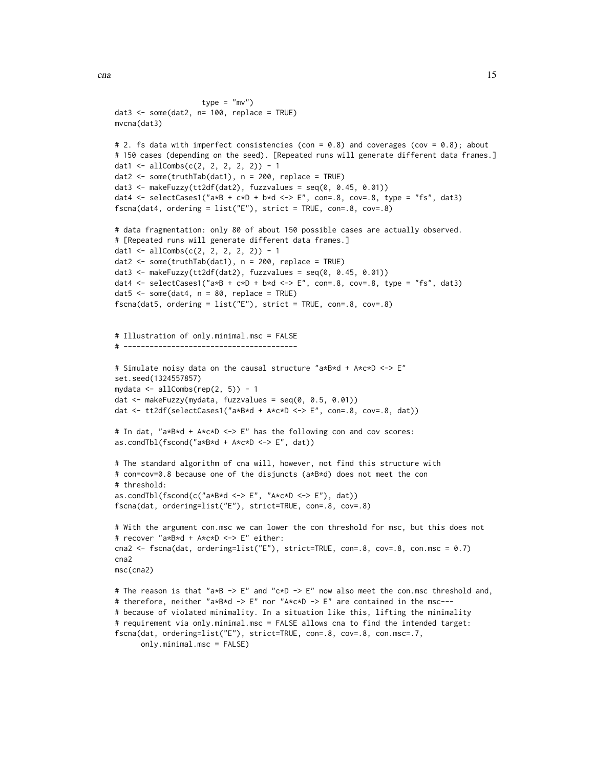```
type = "mv")
dat3 \le some(dat2, n= 100, replace = TRUE)
mvcna(dat3)
# 2. fs data with imperfect consistencies (con = 0.8) and coverages (cov = 0.8); about
# 150 cases (depending on the seed). [Repeated runs will generate different data frames.]
dat1 <- allCombs(c(2, 2, 2, 2, 2)) - 1
data \leftarrow some(truthTab(dat1), n = 200, replace = TRUE)
dat3 <- makeFuzzy(tt2df(dat2), fuzzvalues = seq(0, 0.45, 0.01))dat4 <- selectCases1("a*B + c*D + b*d <-> E", con=.8, cov=.8, type = "fs", dat3)
fscna(dat4, ordering = list("E"), strict = TRUE, con=.8, cov=.8)
# data fragmentation: only 80 of about 150 possible cases are actually observed.
# [Repeated runs will generate different data frames.]
dat1 <- allCombs(c(2, 2, 2, 2, 2)) - 1
dat2 \le some(truthTab(dat1), n = 200, replace = TRUE)
dat3 <- makeFuzzy(tt2df(dat2), fuzzvalues = seq(0, 0.45, 0.01))
dat4 <- selectCases1("a*B + c*D + b*d <-> E", con=.8, cov=.8, type = "fs", dat3)
dat5 \le some(dat4, n = 80, replace = TRUE)
fscna(dat5, ordering = list("E"), strict = TRUE, con=.8, cov=.8)
# Illustration of only.minimal.msc = FALSE
# ----------------------------------------
# Simulate noisy data on the causal structure "a*B*d + A*c*D <-> E"
set.seed(1324557857)
mydata \le allCombs(rep(2, 5)) - 1
dat <- makeFuzzy(mydata, fuzzvalues = seq(0, 0.5, 0.01))
dat <- tt2df(selectCases1("a*B*d + A*c*D <-> E", con=.8, cov=.8, dat))
# In dat, "a*B*d + A*c*D <-> E" has the following con and cov scores:
as.condTbl(fscond("a*B*d + A*c*D <-> E", dat))
# The standard algorithm of cna will, however, not find this structure with
# con=cov=0.8 because one of the disjuncts (a*B*d) does not meet the con
# threshold:
as.condTbl(fscond(c("a*B*d <-> E", "A*c*D <-> E"), dat))
fscna(dat, ordering=list("E"), strict=TRUE, con=.8, cov=.8)
# With the argument con.msc we can lower the con threshold for msc, but this does not
# recover "a*B*d + A*c*D <-> E" either:
cna2 <- fscna(dat, ordering=list("E"), strict=TRUE, con=.8, cov=.8, con.msc = 0.7)
cna2
msc(cna2)
# The reason is that "a*B -> E" and "c*D -> E" now also meet the con.msc threshold and,
# therefore, neither "a*B*d -> E" nor "A*c*D -> E" are contained in the msc---
# because of violated minimality. In a situation like this, lifting the minimality
# requirement via only.minimal.msc = FALSE allows cna to find the intended target:
fscna(dat, ordering=list("E"), strict=TRUE, con=.8, cov=.8, con.msc=.7,
      only.minimal.msc = FALSE)
```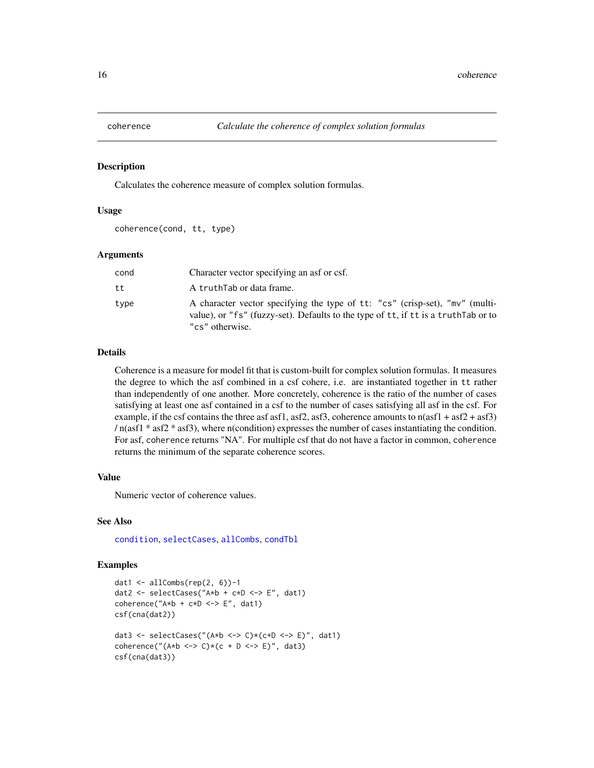<span id="page-15-1"></span><span id="page-15-0"></span>

### Description

Calculates the coherence measure of complex solution formulas.

# Usage

coherence(cond, tt, type)

# Arguments

| cond | Character vector specifying an asf or csf.                                                                                                                                             |
|------|----------------------------------------------------------------------------------------------------------------------------------------------------------------------------------------|
| tt   | A truthTab or data frame.                                                                                                                                                              |
| type | A character vector specifying the type of tt: "cs" (crisp-set), "mv" (multi-<br>value), or "fs" (fuzzy-set). Defaults to the type of tt, if tt is a truth Tab or to<br>"cs" otherwise. |

# Details

Coherence is a measure for model fit that is custom-built for complex solution formulas. It measures the degree to which the asf combined in a csf cohere, i.e. are instantiated together in tt rather than independently of one another. More concretely, coherence is the ratio of the number of cases satisfying at least one asf contained in a csf to the number of cases satisfying all asf in the csf. For example, if the csf contains the three asf asf1, asf2, asf3, coherence amounts to  $n(asf1 + asf2 + asf3)$ / n(asf1 \* asf2 \* asf3), where n(condition) expresses the number of cases instantiating the condition. For asf, coherence returns "NA". For multiple csf that do not have a factor in common, coherence returns the minimum of the separate coherence scores.

# Value

Numeric vector of coherence values.

## See Also

[condition](#page-16-1), [selectCases](#page-32-1), [allCombs](#page-3-1), [condTbl](#page-21-1)

# Examples

```
dat1 <- allCombs(rep(2, 6))-1
dat2 <- selectCases("A*b + c*D <-> E", dat1)
coherence("A*b + c*D \leq b [", dat1)
csf(cna(dat2))
dat3 <- selectCases("(A*b <-> C)*(c+D <-> E)", dat1)
coherence("(A*b \leq S) * (c + D \leq S)", dat3)
csf(cna(dat3))
```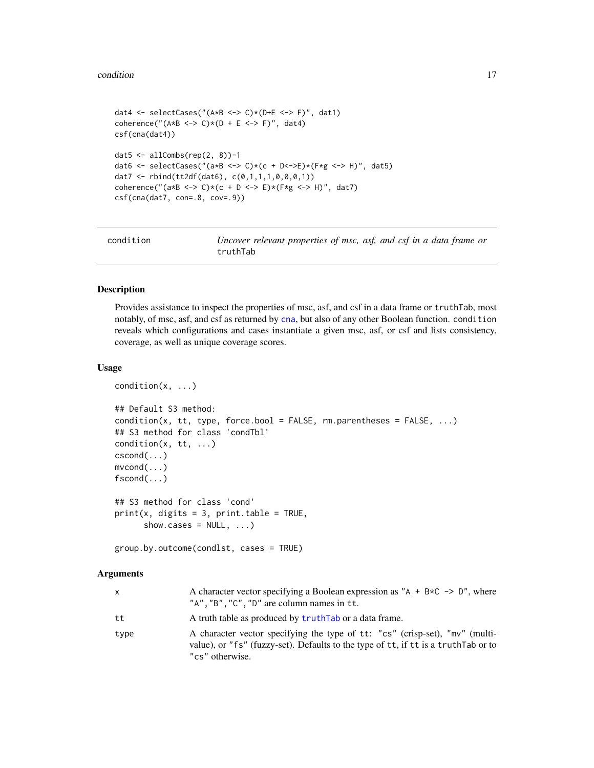#### <span id="page-16-0"></span>condition to the condition of the condition of the condition of the condition of the condition of the condition

```
dat4 <- selectCases("(A*B <-> C)*(D+E <-> F)", dat1)
coherence("(A*B \leq S) * (D + E \leq S)", dat4)
csf(cna(dat4))
dat5 \leftarrow allCombs(rep(2, 8))-1
dat6 <- selectCases("(a*B <-> C)*(c + D<->E)*(F*g <-> H)", dat5)
dat7 <- rbind(tt2df(dat6), c(0,1,1,1,0,0,0,1))
coherence("(a*B <-> C)*(c + D <-> E)*(F*g <-> H)", dat7)
csf(cna(dat7, con=.8, cov=.9))
```
<span id="page-16-1"></span>

| condition | Uncover relevant properties of msc, asf, and csf in a data frame or |
|-----------|---------------------------------------------------------------------|
|           | truthTab                                                            |

# Description

Provides assistance to inspect the properties of msc, asf, and csf in a data frame or truthTab, most notably, of msc, asf, and csf as returned by [cna](#page-4-1), but also of any other Boolean function. condition reveals which configurations and cases instantiate a given msc, asf, or csf and lists consistency, coverage, as well as unique coverage scores.

# Usage

```
condition(x, ...)
## Default S3 method:
condition(x, tt, type, force.bool = FALSE, rm.parentheses = FALSE, ...)
## S3 method for class 'condTbl'
condition(x, tt, ...)
cscond(...)
mvcond(...)
fscond(...)
## S3 method for class 'cond'
print(x, \text{ digits} = 3, \text{ print_table} = \text{TRUE},show.cases = NULL, ...)
```

```
group.by.outcome(condlst, cases = TRUE)
```
#### Arguments

| x    | A character vector specifying a Boolean expression as "A + B $\star$ C -> D", where<br>" $A$ ", " $B$ ", " $C$ ", " $D$ " are column names in tt.                                      |
|------|----------------------------------------------------------------------------------------------------------------------------------------------------------------------------------------|
| tt   | A truth table as produced by truth Tab or a data frame.                                                                                                                                |
| type | A character vector specifying the type of tt: "cs" (crisp-set), "mv" (multi-<br>value), or "fs" (fuzzy-set). Defaults to the type of tt, if tt is a truth Tab or to<br>"cs" otherwise. |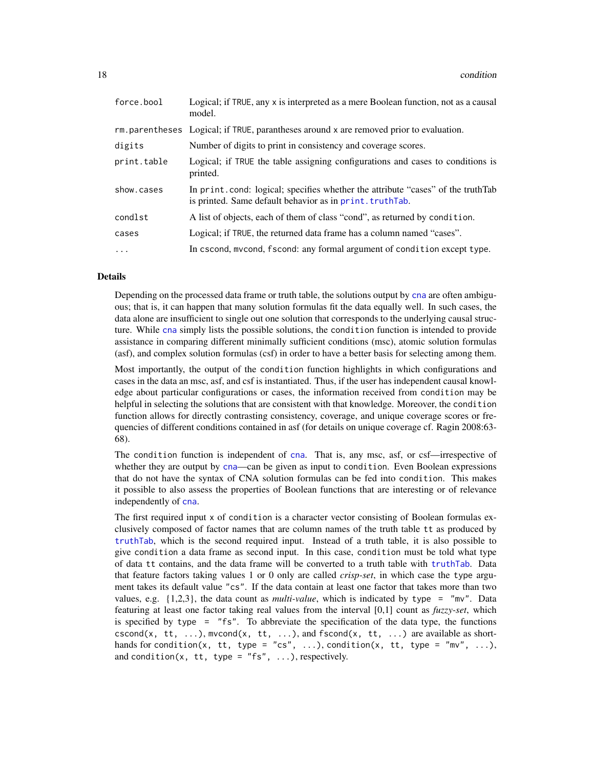<span id="page-17-0"></span>

| force.bool  | Logical; if TRUE, any x is interpreted as a mere Boolean function, not as a causal<br>model.                                                  |
|-------------|-----------------------------------------------------------------------------------------------------------------------------------------------|
|             | rm. parentheses Logical; if TRUE, parantheses around x are removed prior to evaluation.                                                       |
| digits      | Number of digits to print in consistency and coverage scores.                                                                                 |
| print.table | Logical; if TRUE the table assigning configurations and cases to conditions is<br>printed.                                                    |
| show.cases  | In print, cond: logical; specifies whether the attribute "cases" of the truthTab<br>is printed. Same default behavior as in print. truth Tab. |
| condlst     | A list of objects, each of them of class "cond", as returned by condition.                                                                    |
| cases       | Logical; if TRUE, the returned data frame has a column named "cases".                                                                         |
| $\ddots$    | In cscond, mvcond, fscond: any formal argument of condition except type.                                                                      |

# Details

Depending on the processed data frame or truth table, the solutions output by [cna](#page-4-1) are often ambiguous; that is, it can happen that many solution formulas fit the data equally well. In such cases, the data alone are insufficient to single out one solution that corresponds to the underlying causal structure. While [cna](#page-4-1) simply lists the possible solutions, the condition function is intended to provide assistance in comparing different minimally sufficient conditions (msc), atomic solution formulas (asf), and complex solution formulas (csf) in order to have a better basis for selecting among them.

Most importantly, the output of the condition function highlights in which configurations and cases in the data an msc, asf, and csf is instantiated. Thus, if the user has independent causal knowledge about particular configurations or cases, the information received from condition may be helpful in selecting the solutions that are consistent with that knowledge. Moreover, the condition function allows for directly contrasting consistency, coverage, and unique coverage scores or frequencies of different conditions contained in asf (for details on unique coverage cf. Ragin 2008:63- 68).

The condition function is independent of [cna](#page-4-1). That is, any msc, asf, or csf—irrespective of whether they are output by [cna](#page-4-1)—can be given as input to condition. Even Boolean expressions that do not have the syntax of CNA solution formulas can be fed into condition. This makes it possible to also assess the properties of Boolean functions that are interesting or of relevance independently of [cna](#page-4-1).

The first required input x of condition is a character vector consisting of Boolean formulas exclusively composed of factor names that are column names of the truth table tt as produced by [truthTab](#page-36-1), which is the second required input. Instead of a truth table, it is also possible to give condition a data frame as second input. In this case, condition must be told what type of data tt contains, and the data frame will be converted to a truth table with [truthTab](#page-36-1). Data that feature factors taking values 1 or 0 only are called *crisp-set*, in which case the type argument takes its default value "cs". If the data contain at least one factor that takes more than two values, e.g. {1,2,3}, the data count as *multi-value*, which is indicated by type = "mv". Data featuring at least one factor taking real values from the interval [0,1] count as *fuzzy-set*, which is specified by type  $=$  "fs". To abbreviate the specification of the data type, the functions cscond(x, tt, ...), mvcond(x, tt, ...), and fscond(x, tt, ...) are available as shorthands for condition(x, tt, type = "cs", ...), condition(x, tt, type = "mv", ...), and condition(x, tt, type = "fs", ...), respectively.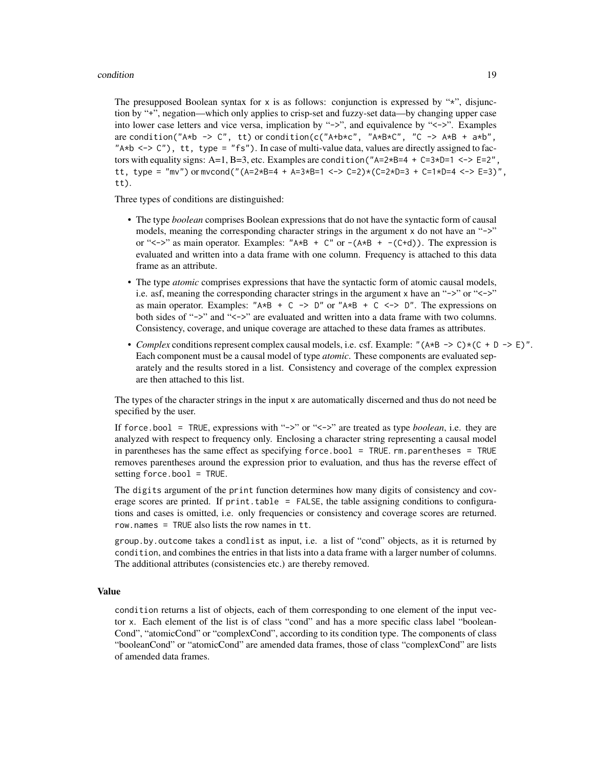## condition to the condition of the condition of the condition of the condition of the condition of the condition

The presupposed Boolean syntax for  $x$  is as follows: conjunction is expressed by " $x$ ", disjunction by "+", negation—which only applies to crisp-set and fuzzy-set data—by changing upper case into lower case letters and vice versa, implication by "->", and equivalence by "<->". Examples are condition("A\*b -> C", tt) or condition(c("A+b\*c", "A\*B\*C", "C -> A\*B + a\*b", "A\*b <-> C"), tt, type = "fs"). In case of multi-value data, values are directly assigned to factors with equality signs: A=1, B=3, etc. Examples are condition (" $A=2*B=4 + C=3*D=1 \le -\ge = 2$ ", tt, type = "mv") or mvcond("(A=2\*B=4 + A=3\*B=1 <-> C=2)\*(C=2\*D=3 + C=1\*D=4 <-> E=3)", tt).

Three types of conditions are distinguished:

- The type *boolean* comprises Boolean expressions that do not have the syntactic form of causal models, meaning the corresponding character strings in the argument  $\times$  do not have an "->" or " $\lt$  ->" as main operator. Examples: " $A \star B + C$ " or  $-(A \star B + -(C+d))$ . The expression is evaluated and written into a data frame with one column. Frequency is attached to this data frame as an attribute.
- The type *atomic* comprises expressions that have the syntactic form of atomic causal models, i.e. asf, meaning the corresponding character strings in the argument x have an " $\rightarrow$ " or " $\lt\rightarrow$ " as main operator. Examples: " $A*B + C \rightarrow D''$  or " $A*B + C \leftarrow D''$ . The expressions on both sides of "->" and "<->" are evaluated and written into a data frame with two columns. Consistency, coverage, and unique coverage are attached to these data frames as attributes.
- *Complex* conditions represent complex causal models, i.e. csf. Example: " $(A*B \rightarrow C)*(C + D \rightarrow E)$ ". Each component must be a causal model of type *atomic*. These components are evaluated separately and the results stored in a list. Consistency and coverage of the complex expression are then attached to this list.

The types of the character strings in the input x are automatically discerned and thus do not need be specified by the user.

If force.bool = TRUE, expressions with "->" or "<->" are treated as type *boolean*, i.e. they are analyzed with respect to frequency only. Enclosing a character string representing a causal model in parentheses has the same effect as specifying force.bool = TRUE.  $rm.parentness = TRUE$ removes parentheses around the expression prior to evaluation, and thus has the reverse effect of setting force.bool = TRUE.

The digits argument of the print function determines how many digits of consistency and coverage scores are printed. If print.table = FALSE, the table assigning conditions to configurations and cases is omitted, i.e. only frequencies or consistency and coverage scores are returned. row.names = TRUE also lists the row names in tt.

group.by.outcome takes a condlist as input, i.e. a list of "cond" objects, as it is returned by condition, and combines the entries in that lists into a data frame with a larger number of columns. The additional attributes (consistencies etc.) are thereby removed.

# Value

condition returns a list of objects, each of them corresponding to one element of the input vector x. Each element of the list is of class "cond" and has a more specific class label "boolean-Cond", "atomicCond" or "complexCond", according to its condition type. The components of class "booleanCond" or "atomicCond" are amended data frames, those of class "complexCond" are lists of amended data frames.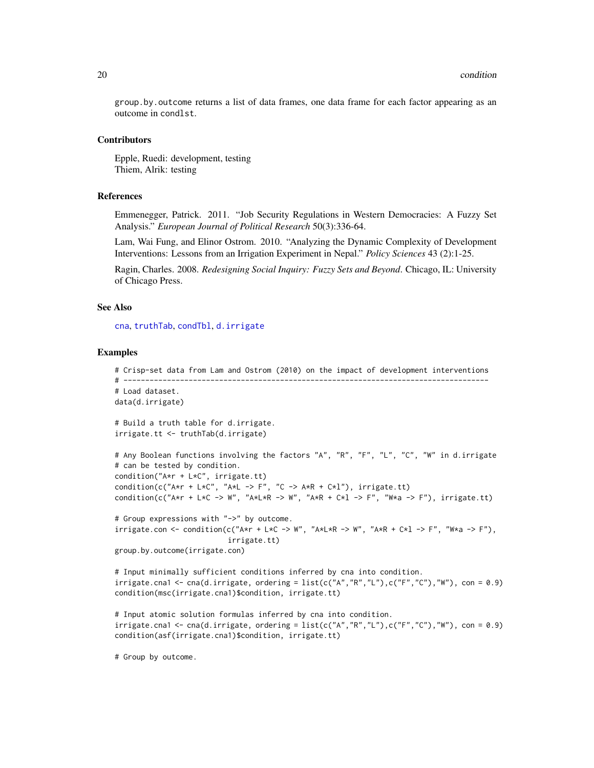<span id="page-19-0"></span>group.by.outcome returns a list of data frames, one data frame for each factor appearing as an outcome in condlst.

#### Contributors

Epple, Ruedi: development, testing Thiem, Alrik: testing

# References

Emmenegger, Patrick. 2011. "Job Security Regulations in Western Democracies: A Fuzzy Set Analysis." *European Journal of Political Research* 50(3):336-64.

Lam, Wai Fung, and Elinor Ostrom. 2010. "Analyzing the Dynamic Complexity of Development Interventions: Lessons from an Irrigation Experiment in Nepal." *Policy Sciences* 43 (2):1-25.

Ragin, Charles. 2008. *Redesigning Social Inquiry: Fuzzy Sets and Beyond*. Chicago, IL: University of Chicago Press.

# See Also

[cna](#page-4-1), [truthTab](#page-36-1), [condTbl](#page-21-1), [d.irrigate](#page-25-1)

# Examples

```
# Crisp-set data from Lam and Ostrom (2010) on the impact of development interventions
# ------------------------------------------------------------------------------------
# Load dataset.
data(d.irrigate)
# Build a truth table for d.irrigate.
irrigate.tt <- truthTab(d.irrigate)
# Any Boolean functions involving the factors "A", "R", "F", "L", "C", "W" in d.irrigate
# can be tested by condition.
condition("A*r + L*C", irrigate.tt)
condition(c("A*r + L*C", "A*L -> F", "C -> A*R + C*l"), irrigate.tt)
condition(c("A*r + L*C -> W", "A*L*R -> W", "A*R + C*l -> F", "W*a -> F"), irrigate.tt)
# Group expressions with "->" by outcome.
irrigate.com < - condition(cf'Axr + L*C -> W'', "A*L*R -> W", "A*R + C*l -> F", "W*a -> F"),
                          irrigate.tt)
group.by.outcome(irrigate.con)
# Input minimally sufficient conditions inferred by cna into condition.
irrigate.cna1 \leq -cna(d.irrigate, ordering = list(c("A", "R", "L"), c("F", "C"), "W"), con = 0.9)condition(msc(irrigate.cna1)$condition, irrigate.tt)
# Input atomic solution formulas inferred by cna into condition.
irrigate.cna1 \leq -cna(d.irrigate, ordering = list(c("A", "R", "L"), c("F", "C"), "W"), con = 0.9)condition(asf(irrigate.cna1)$condition, irrigate.tt)
```
# Group by outcome.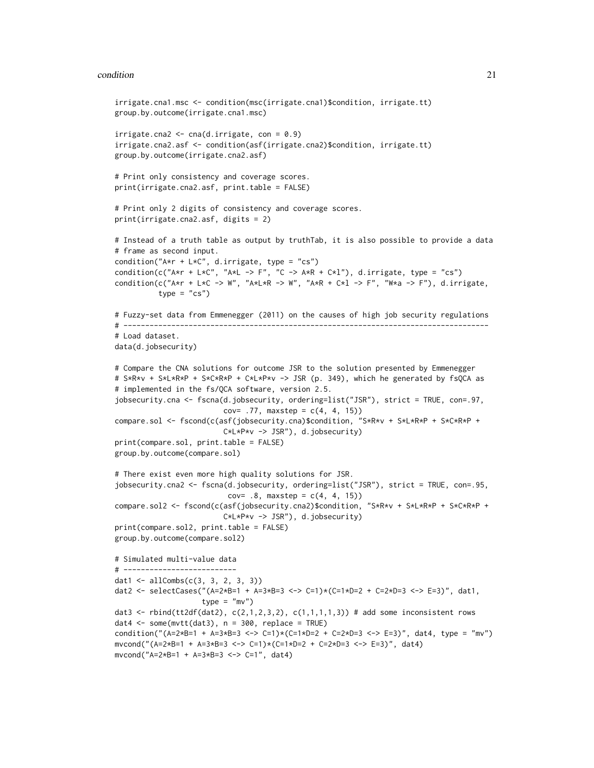#### condition 21

```
irrigate.cna1.msc <- condition(msc(irrigate.cna1)$condition, irrigate.tt)
group.by.outcome(irrigate.cna1.msc)
irrigate can 2 < -\text{cna}(d.irrigate, con = 0.9)irrigate.cna2.asf <- condition(asf(irrigate.cna2)$condition, irrigate.tt)
group.by.outcome(irrigate.cna2.asf)
# Print only consistency and coverage scores.
print(irrigate.cna2.asf, print.table = FALSE)
# Print only 2 digits of consistency and coverage scores.
print(irrigate.cna2.asf, digits = 2)
# Instead of a truth table as output by truthTab, it is also possible to provide a data
# frame as second input.
condition("A*r + L*C", d.irrigate, type = "cs")
condition(c("A*r + L*C", "A*L -> F", "C -> A*R + C*l"), d.irrigate, type = "cs")
condition(c("A*r + L*C -> W", "A*L*R -> W", "A*R + C*l -> F", "W*a -> F"), d.irrigate,
          type = "cs")# Fuzzy-set data from Emmenegger (2011) on the causes of high job security regulations
# ------------------------------------------------------------------------------------
# Load dataset.
data(d.jobsecurity)
# Compare the CNA solutions for outcome JSR to the solution presented by Emmenegger
# S*R*v + S*L*R*P + S*C*R*P + C*L*P*v -> JSR (p. 349), which he generated by fsQCA as
# implemented in the fs/QCA software, version 2.5.
jobsecurity.cna <- fscna(d.jobsecurity, ordering=list("JSR"), strict = TRUE, con=.97,
                         cov= .77, maxstep = c(4, 4, 15))
compare.sol <- fscond(c(asf(jobsecurity.cna)$condition, "S*R*v + S*L*R*P + S*C*R*P +
                         C*L*P*v -> JSR"), d.jobsecurity)
print(compare.sol, print.table = FALSE)
group.by.outcome(compare.sol)
# There exist even more high quality solutions for JSR.
jobsecurity.cna2 <- fscna(d.jobsecurity, ordering=list("JSR"), strict = TRUE, con=.95,
                          cov= .8, maxstep = c(4, 4, 15))
compare.sol2 <- fscond(c(asf(jobsecurity.cna2)$condition, "S*R*v + S*L*R*P + S*C*R*P +
                         C*L*P*v -> JSR"), d.jobsecurity)
print(compare.sol2, print.table = FALSE)
group.by.outcome(compare.sol2)
# Simulated multi-value data
# --------------------------
dat1 <- allCombs(c(3, 3, 2, 3, 3))
dat2 <- selectCases("(A=2*B=1 + A=3*B=3 <-> C=1)*(C=1*D=2 + C=2*D=3 <-> E=3)", dat1,
                    type = "mv")
dat3 <- rbind(tt2df(dat2), c(2,1,2,3,2), c(1,1,1,1,3)) # add some inconsistent rows
dat4 \leq some(mvtt(dat3), n = 300, replace = TRUE)
condition("(A=2*B=1 + A=3*B=3 <-> C=1)*(C=1*D=2 + C=2*D=3 <-> E=3)", dat4, type = "mv")
mvcond("(A=2*B=1 + A=3*B=3 <-> C=1)*(C=1*D=2 + C=2*D=3 <-> E=3)", dat4)
mvcond("A=2*B=1 + A=3*B=3 <-> C=1", dat4)
```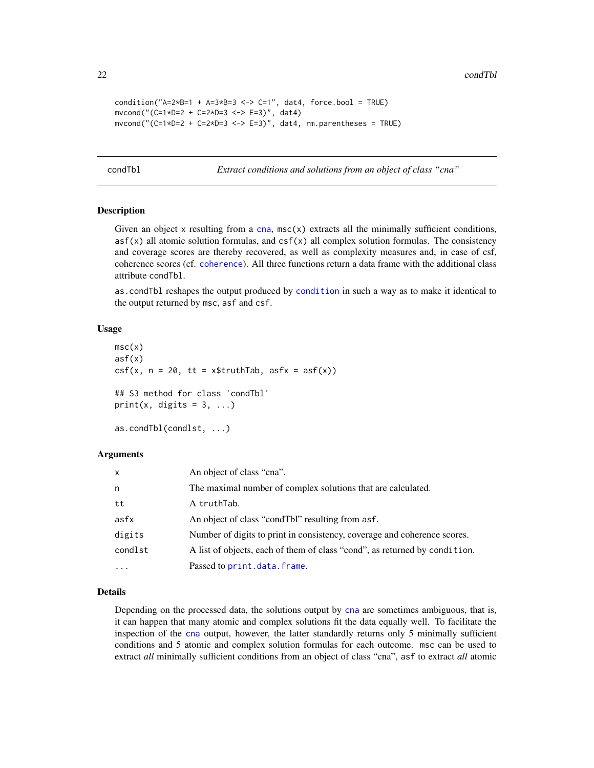22 condTbl

```
condition("A=2*B=1 + A=3*B=3 <-> C=1", dat4, force.bool = TRUE)
mvcond("(C=1*D=2 + C=2*D=3 <-> E=3)", dat4)
mvcond("(C=1*D=2 + C=2*D=3 <-> E=3)", dat4, rm.parentheses = TRUE)
```
<span id="page-21-1"></span>condTbl *Extract conditions and solutions from an object of class "cna"*

# Description

Given an object  $x$  resulting from a [cna](#page-4-1),  $msc(x)$  extracts all the minimally sufficient conditions,  $asf(x)$  all atomic solution formulas, and  $csf(x)$  all complex solution formulas. The consistency and coverage scores are thereby recovered, as well as complexity measures and, in case of csf, coherence scores (cf. [coherence](#page-15-1)). All three functions return a data frame with the additional class attribute condTbl.

as.condTbl reshapes the output produced by [condition](#page-16-1) in such a way as to make it identical to the output returned by msc, asf and csf.

#### Usage

```
msc(x)asf(x)
csf(x, n = 20, tt = x$truthTab, asfx = asf(x))## S3 method for class 'condTbl'
print(x, \text{ digits} = 3, \ldots)as.condTbl(condlst, ...)
```
# Arguments

| $\mathsf{x}$ | An object of class "cna".                                                  |
|--------------|----------------------------------------------------------------------------|
| n            | The maximal number of complex solutions that are calculated.               |
| tt           | A truthTab.                                                                |
| asfx         | An object of class "condTbl" resulting from asf.                           |
| digits       | Number of digits to print in consistency, coverage and coherence scores.   |
| condlst      | A list of objects, each of them of class "cond", as returned by condition. |
| $\ddotsc$    | Passed to print.data.frame.                                                |

# Details

Depending on the processed data, the solutions output by [cna](#page-4-1) are sometimes ambiguous, that is, it can happen that many atomic and complex solutions fit the data equally well. To facilitate the inspection of the [cna](#page-4-1) output, however, the latter standardly returns only 5 minimally sufficient conditions and 5 atomic and complex solution formulas for each outcome. msc can be used to extract *all* minimally sufficient conditions from an object of class "cna", asf to extract *all* atomic

<span id="page-21-0"></span>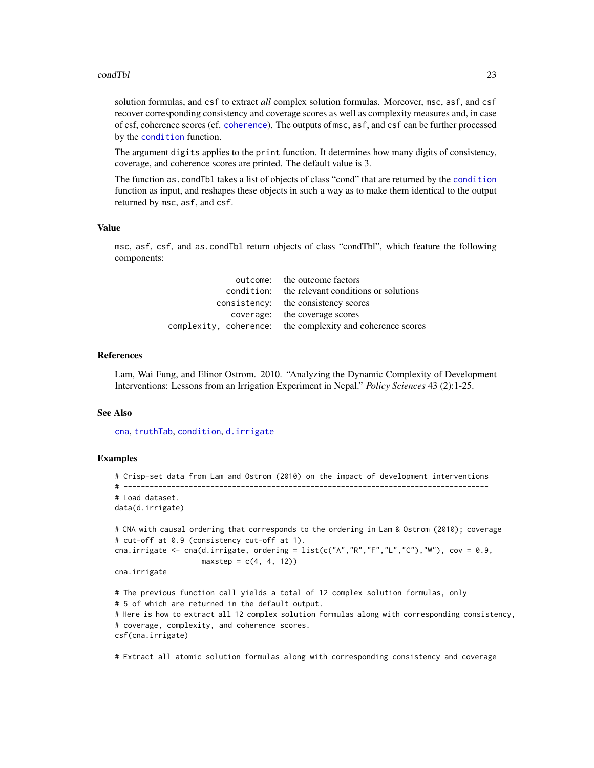#### <span id="page-22-0"></span>condTbl 23

solution formulas, and csf to extract *all* complex solution formulas. Moreover, msc, asf, and csf recover corresponding consistency and coverage scores as well as complexity measures and, in case of csf, coherence scores (cf. [coherence](#page-15-1)). The outputs of msc, asf, and csf can be further processed by the [condition](#page-16-1) function.

The argument digits applies to the print function. It determines how many digits of consistency, coverage, and coherence scores are printed. The default value is 3.

The function as.condTbl takes a list of objects of class "cond" that are returned by the [condition](#page-16-1) function as input, and reshapes these objects in such a way as to make them identical to the output returned by msc, asf, and csf.

# Value

msc, asf, csf, and as.condTbl return objects of class "condTbl", which feature the following components:

| outcome: the outcome factors                               |
|------------------------------------------------------------|
| condition: the relevant conditions or solutions            |
| consistency: the consistency scores                        |
| coverage: the coverage scores                              |
| complexity, coherence: the complexity and coherence scores |

#### References

Lam, Wai Fung, and Elinor Ostrom. 2010. "Analyzing the Dynamic Complexity of Development Interventions: Lessons from an Irrigation Experiment in Nepal." *Policy Sciences* 43 (2):1-25.

### See Also

[cna](#page-4-1), [truthTab](#page-36-1), [condition](#page-16-1), [d.irrigate](#page-25-1)

# Examples

```
# Crisp-set data from Lam and Ostrom (2010) on the impact of development interventions
# ------------------------------------------------------------------------------------
# Load dataset.
data(d.irrigate)
# CNA with causal ordering that corresponds to the ordering in Lam & Ostrom (2010); coverage
# cut-off at 0.9 (consistency cut-off at 1).
cna.irrigate \leq cna(d.irrigate, ordering = list(c("A","R","F","L","C"),"W"), cov = 0.9,
                    maxstep = c(4, 4, 12)cna.irrigate
# The previous function call yields a total of 12 complex solution formulas, only
# 5 of which are returned in the default output.
# Here is how to extract all 12 complex solution formulas along with corresponding consistency,
# coverage, complexity, and coherence scores.
csf(cna.irrigate)
```
# Extract all atomic solution formulas along with corresponding consistency and coverage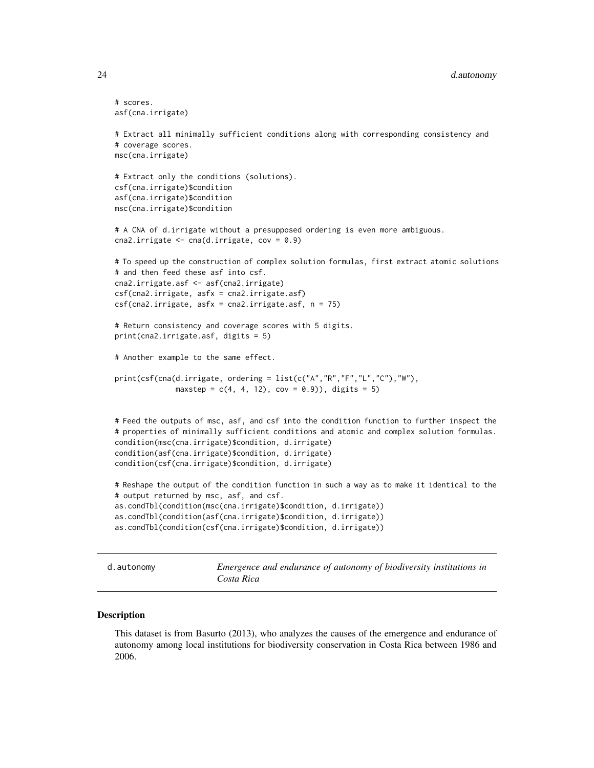# <span id="page-23-0"></span>24 d.autonomy

```
# scores.
asf(cna.irrigate)
# Extract all minimally sufficient conditions along with corresponding consistency and
# coverage scores.
msc(cna.irrigate)
# Extract only the conditions (solutions).
csf(cna.irrigate)$condition
asf(cna.irrigate)$condition
msc(cna.irrigate)$condition
# A CNA of d.irrigate without a presupposed ordering is even more ambiguous.
cna2.irrigate \leq cna(d.irrigate, cov = 0.9)
# To speed up the construction of complex solution formulas, first extract atomic solutions
# and then feed these asf into csf.
cna2.irrigate.asf <- asf(cna2.irrigate)
csf(cna2.irrigate, asfx = cna2.irrigate.asf)
csf(cna2.irrigate, asfx = cna2.irrigate.asf, n = 75)# Return consistency and coverage scores with 5 digits.
print(cna2.irrigate.asf, digits = 5)
# Another example to the same effect.
print(csf(cna(d.irrigate, ordering = list(c("A","R","F","L","C"),"W"),
              maxstep = c(4, 4, 12), cov = 0.9)), digits = 5)
# Feed the outputs of msc, asf, and csf into the condition function to further inspect the
# properties of minimally sufficient conditions and atomic and complex solution formulas.
condition(msc(cna.irrigate)$condition, d.irrigate)
condition(asf(cna.irrigate)$condition, d.irrigate)
condition(csf(cna.irrigate)$condition, d.irrigate)
# Reshape the output of the condition function in such a way as to make it identical to the
# output returned by msc, asf, and csf.
as.condTbl(condition(msc(cna.irrigate)$condition, d.irrigate))
as.condTbl(condition(asf(cna.irrigate)$condition, d.irrigate))
as.condTbl(condition(csf(cna.irrigate)$condition, d.irrigate))
```
d.autonomy *Emergence and endurance of autonomy of biodiversity institutions in Costa Rica*

#### Description

This dataset is from Basurto (2013), who analyzes the causes of the emergence and endurance of autonomy among local institutions for biodiversity conservation in Costa Rica between 1986 and 2006.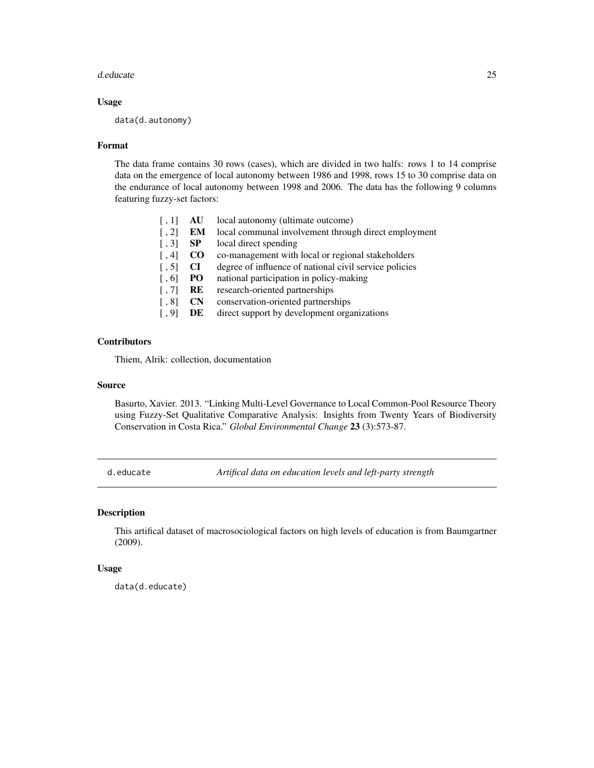#### <span id="page-24-0"></span>d.educate 25

# Usage

data(d.autonomy)

#### Format

The data frame contains 30 rows (cases), which are divided in two halfs: rows 1 to 14 comprise data on the emergence of local autonomy between 1986 and 1998, rows 15 to 30 comprise data on the endurance of local autonomy between 1998 and 2006. The data has the following 9 columns featuring fuzzy-set factors:

| $\lceil$ , 1]       | AU             | local autonomy (ultimate outcome)                      |
|---------------------|----------------|--------------------------------------------------------|
| $\lceil$ , 2]       | EM             | local communal involvement through direct employment   |
| $\lceil, 3\rceil$   | <b>SP</b>      | local direct spending                                  |
| $\lceil$ , 4        | $\bf CO$       | co-management with local or regional stakeholders      |
| $\lceil, 5\rceil$   | <b>CI</b>      | degree of influence of national civil service policies |
| $\lceil 0.6 \rceil$ | PO.            | national participation in policy-making                |
| $\lceil, 7\rceil$   | RE             | research-oriented partnerships                         |
| $\lceil, 8\rceil$   | $\mathbf{C}$ N | conservation-oriented partnerships                     |
| $\lceil .9 \rceil$  | DE             | direct support by development organizations            |
|                     |                |                                                        |

# **Contributors**

Thiem, Alrik: collection, documentation

# Source

Basurto, Xavier. 2013. "Linking Multi-Level Governance to Local Common-Pool Resource Theory using Fuzzy-Set Qualitative Comparative Analysis: Insights from Twenty Years of Biodiversity Conservation in Costa Rica." *Global Environmental Change* 23 (3):573-87.

<span id="page-24-1"></span>d.educate *Artifical data on education levels and left-party strength*

# Description

This artifical dataset of macrosociological factors on high levels of education is from Baumgartner (2009).

# Usage

data(d.educate)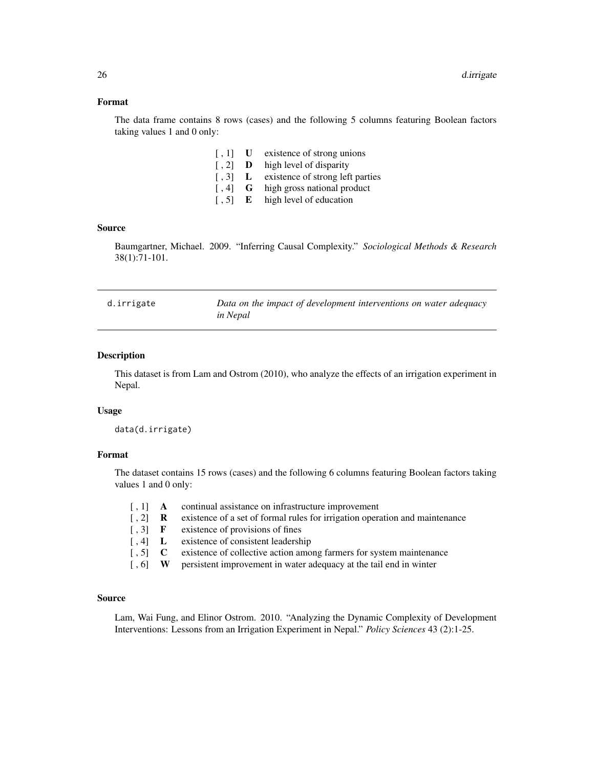# <span id="page-25-0"></span>Format

The data frame contains 8 rows (cases) and the following 5 columns featuring Boolean factors taking values 1 and 0 only:

- [, 1] **U** existence of strong unions
- [, 2] **D** high level of disparity
- [, 3] L existence of strong left parties
- [, 4] **G** high gross national product
- [, 5] **E** high level of education

# Source

Baumgartner, Michael. 2009. "Inferring Causal Complexity." *Sociological Methods & Research* 38(1):71-101.

<span id="page-25-1"></span>

| d.irrigate | Data on the impact of development interventions on water adequacy |
|------------|-------------------------------------------------------------------|
|            | in Nepal                                                          |

# Description

This dataset is from Lam and Ostrom (2010), who analyze the effects of an irrigation experiment in Nepal.

# Usage

data(d.irrigate)

# Format

The dataset contains 15 rows (cases) and the following 6 columns featuring Boolean factors taking values 1 and 0 only:

|                                                         | $\begin{bmatrix} 1 \end{bmatrix}$ A continual assistance on infrastructure improvement |
|---------------------------------------------------------|----------------------------------------------------------------------------------------|
| $\lbrack 2 \rbrack$ R                                   | existence of a set of formal rules for irrigation operation and maintenance            |
| $\lceil .3 \rceil$ F                                    | existence of provisions of fines                                                       |
| $\left[ .4 \right]$ L                                   | existence of consistent leadership                                                     |
| $\left[ .5 \right]$ C                                   | existence of collective action among farmers for system maintenance                    |
| $\left[ \begin{array}{cc} 0 \\ 0 \end{array} \right]$ W | persistent improvement in water adequacy at the tail end in winter                     |

# Source

Lam, Wai Fung, and Elinor Ostrom. 2010. "Analyzing the Dynamic Complexity of Development Interventions: Lessons from an Irrigation Experiment in Nepal." *Policy Sciences* 43 (2):1-25.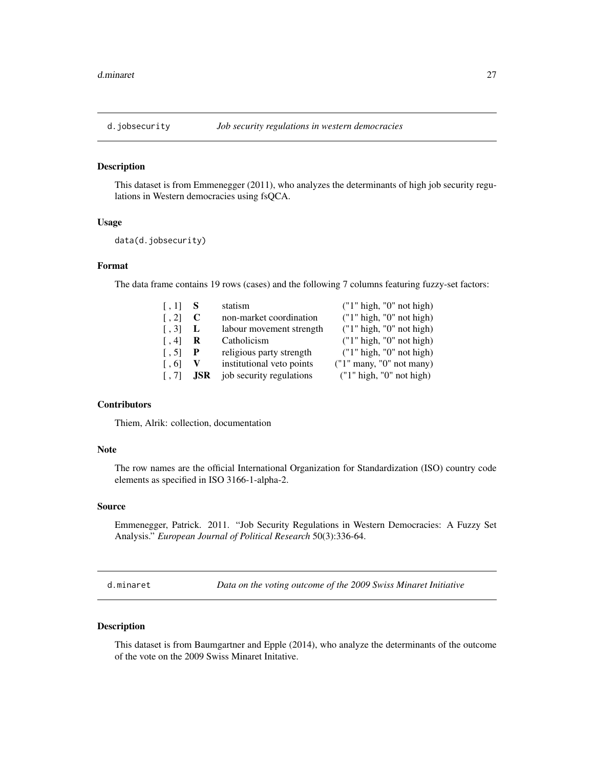<span id="page-26-1"></span><span id="page-26-0"></span>

#### Description

This dataset is from Emmenegger (2011), who analyzes the determinants of high job security regulations in Western democracies using fsQCA.

# Usage

data(d.jobsecurity)

# Format

The data frame contains 19 rows (cases) and the following 7 columns featuring fuzzy-set factors:

| $\left[ 1, 1 \right]$ | S    | statism                   | ("1" high, "0" not high)   |
|-----------------------|------|---------------------------|----------------------------|
| $\lceil$ , 2]         | C    | non-market coordination   | ('1" high, "0" not high)   |
| $\lceil .3 \rceil$    | L    | labour movement strength  | ('1" high, "0" not high)   |
| $\lceil$ , 4          | R    | Catholicism               | ("1" high, "0" not high)   |
| $\lceil .5 \rceil$    | P    | religious party strength  | ('1" high, "0" not high)   |
| $\lceil .6 \rceil$    | V    | institutional veto points | $("1"$ many, "0" not many) |
| $\left[ 1, 7 \right]$ | .JSR | job security regulations  | ("1" high, "0" not high)   |

# **Contributors**

Thiem, Alrik: collection, documentation

# Note

The row names are the official International Organization for Standardization (ISO) country code elements as specified in ISO 3166-1-alpha-2.

#### Source

Emmenegger, Patrick. 2011. "Job Security Regulations in Western Democracies: A Fuzzy Set Analysis." *European Journal of Political Research* 50(3):336-64.

d.minaret *Data on the voting outcome of the 2009 Swiss Minaret Initiative*

# Description

This dataset is from Baumgartner and Epple (2014), who analyze the determinants of the outcome of the vote on the 2009 Swiss Minaret Initative.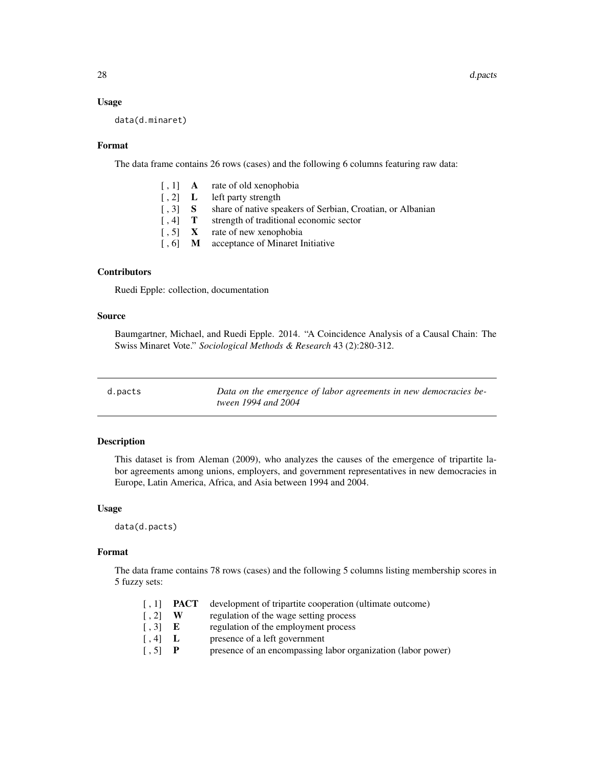# Usage

data(d.minaret)

### Format

The data frame contains 26 rows (cases) and the following 6 columns featuring raw data:

- [, 1] **A** rate of old xenophobia
- [, 2] **L** left party strength
- [, 3] S share of native speakers of Serbian, Croatian, or Albanian
- [, 4] **T** strength of traditional economic sector
- $\begin{bmatrix} 1, 5 \end{bmatrix}$  X rate of new xenophobia
- [, 6] **M** acceptance of Minaret Initiative

# Contributors

Ruedi Epple: collection, documentation

# Source

Baumgartner, Michael, and Ruedi Epple. 2014. "A Coincidence Analysis of a Causal Chain: The Swiss Minaret Vote." *Sociological Methods & Research* 43 (2):280-312.

<span id="page-27-1"></span>

| d.pacts |
|---------|
|         |

Data on the emergence of labor agreements in new democracies be*tween 1994 and 2004*

# Description

This dataset is from Aleman (2009), who analyzes the causes of the emergence of tripartite labor agreements among unions, employers, and government representatives in new democracies in Europe, Latin America, Africa, and Asia between 1994 and 2004.

#### Usage

data(d.pacts)

# Format

The data frame contains 78 rows (cases) and the following 5 columns listing membership scores in 5 fuzzy sets:

| $\lceil$ , 1]         | PACT  | development of tripartite cooperation (ultimate outcome)     |
|-----------------------|-------|--------------------------------------------------------------|
| $\lceil$ , 2]         | W     | regulation of the wage setting process                       |
| $\left[ .3 \right]$ E |       | regulation of the employment process                         |
| $\left[ 1, 4 \right]$ | - L - | presence of a left government                                |
| $\lceil, 5\rceil$     |       | presence of an encompassing labor organization (labor power) |

<span id="page-27-0"></span>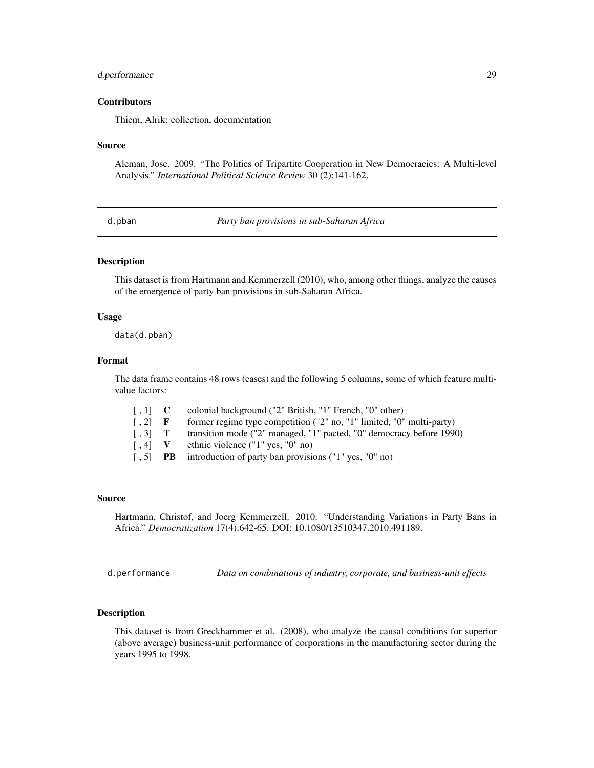# <span id="page-28-0"></span>d.performance 29

# **Contributors**

Thiem, Alrik: collection, documentation

#### Source

Aleman, Jose. 2009. "The Politics of Tripartite Cooperation in New Democracies: A Multi-level Analysis." *International Political Science Review* 30 (2):141-162.

<span id="page-28-1"></span>d.pban *Party ban provisions in sub-Saharan Africa*

# Description

This dataset is from Hartmann and Kemmerzell (2010), who, among other things, analyze the causes of the emergence of party ban provisions in sub-Saharan Africa.

# Usage

data(d.pban)

#### Format

The data frame contains 48 rows (cases) and the following 5 columns, some of which feature multivalue factors:

| $\lceil .1 \rceil$ C      |    | colonial background ("2" British, "1" French, "0" other)              |
|---------------------------|----|-----------------------------------------------------------------------|
| $\lceil$ , 2] F           |    | former regime type competition ("2" no, "1" limited, "0" multi-party) |
| $\lceil .3 \rceil$ T      |    | transition mode ("2" managed, "1" pacted, "0" democracy before 1990)  |
|                           |    | $\lceil$ , 4] V ethnic violence ("1" yes, "0" no)                     |
| $\left[ \cdot, 5 \right]$ | PB | introduction of party ban provisions ("1" yes, "0" no)                |

#### Source

Hartmann, Christof, and Joerg Kemmerzell. 2010. "Understanding Variations in Party Bans in Africa." *Democratization* 17(4):642-65. DOI: 10.1080/13510347.2010.491189.

<span id="page-28-2"></span>d.performance *Data on combinations of industry, corporate, and business-unit effects*

# **Description**

This dataset is from Greckhammer et al. (2008), who analyze the causal conditions for superior (above average) business-unit performance of corporations in the manufacturing sector during the years 1995 to 1998.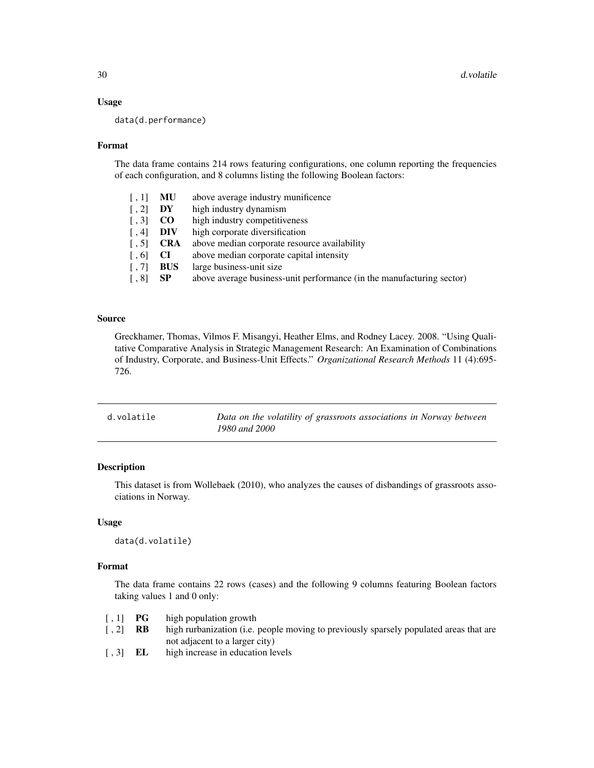# Usage

data(d.performance)

#### Format

The data frame contains 214 rows featuring configurations, one column reporting the frequencies of each configuration, and 8 columns listing the following Boolean factors:

| $\lceil .1 \rceil$        | MU         | above average industry munificence                                    |
|---------------------------|------------|-----------------------------------------------------------------------|
| $\lceil$ , 2]             | DY         | high industry dynamism                                                |
| $\lceil .3 \rceil$        | $\bf CO$   | high industry competitiveness                                         |
| $\lceil .4 \rceil$        | DIV        | high corporate diversification                                        |
| $\lceil .5 \rceil$        | <b>CRA</b> | above median corporate resource availability                          |
| $\lceil$ , 6]             | CI.        | above median corporate capital intensity                              |
| $\lceil .7 \rceil$        | <b>BUS</b> | large business-unit size                                              |
| $\lceil \, . \, 8 \rceil$ | <b>SP</b>  | above average business-unit performance (in the manufacturing sector) |
|                           |            |                                                                       |

# Source

Greckhamer, Thomas, Vilmos F. Misangyi, Heather Elms, and Rodney Lacey. 2008. "Using Qualitative Comparative Analysis in Strategic Management Research: An Examination of Combinations of Industry, Corporate, and Business-Unit Effects." *Organizational Research Methods* 11 (4):695- 726.

| d.volatile | Data on the volatility of grassroots associations in Norway between |
|------------|---------------------------------------------------------------------|
|            | 1980 and 2000                                                       |

# Description

This dataset is from Wollebaek (2010), who analyzes the causes of disbandings of grassroots associations in Norway.

# Usage

data(d.volatile)

# Format

The data frame contains 22 rows (cases) and the following 9 columns featuring Boolean factors taking values 1 and 0 only:

- [, 1] **PG** high population growth
- [, 2] **RB** high rurbanization (i.e. people moving to previously sparsely populated areas that are not adjacent to a larger city)
- [, 3] **EL** high increase in education levels

<span id="page-29-0"></span>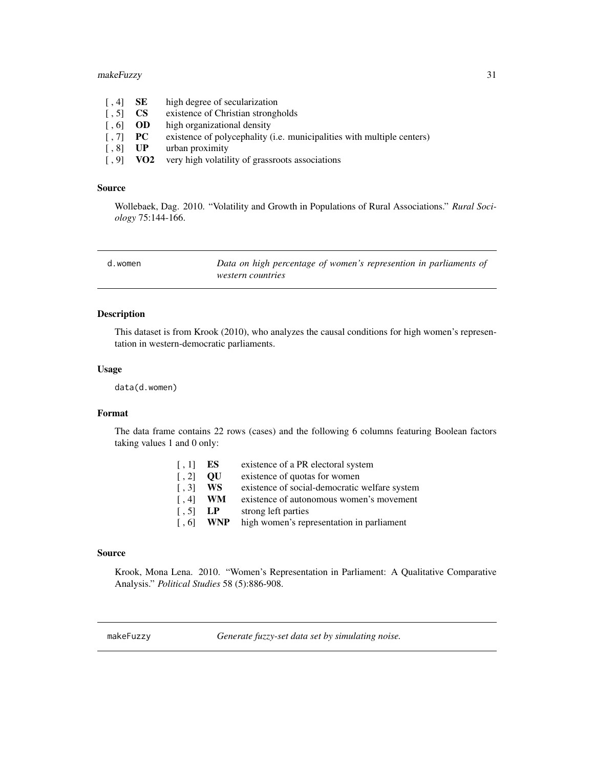# <span id="page-30-0"></span>makeFuzzy 31

| $\left[ 1, 4 \right]$                  | SE .            | high degree of secularization                                          |
|----------------------------------------|-----------------|------------------------------------------------------------------------|
| $\lceil .5 \rceil$                     | CS —            | existence of Christian strongholds                                     |
| $\begin{bmatrix} 0.6 \end{bmatrix}$ OD |                 | high organizational density                                            |
| $\lceil .7 \rceil$ PC                  |                 | existence of polycephality (i.e. municipalities with multiple centers) |
| $\lceil .8 \rceil$                     | UP -            | urban proximity                                                        |
| $\lceil .9 \rceil$                     | VO <sub>2</sub> | very high volatility of grassroots associations                        |

# Source

Wollebaek, Dag. 2010. "Volatility and Growth in Populations of Rural Associations." *Rural Sociology* 75:144-166.

<span id="page-30-2"></span>

| d.women | Data on high percentage of women's represention in parliaments of |
|---------|-------------------------------------------------------------------|
|         | <i>western countries</i>                                          |

# Description

This dataset is from Krook (2010), who analyzes the causal conditions for high women's representation in western-democratic parliaments.

# Usage

data(d.women)

# Format

The data frame contains 22 rows (cases) and the following 6 columns featuring Boolean factors taking values 1 and 0 only:

| $\lceil$ , 1]      | ES.        | existence of a PR electoral system            |
|--------------------|------------|-----------------------------------------------|
| $\lceil$ , 2]      | OU         | existence of quotas for women                 |
| $\lceil .3 \rceil$ | WS.        | existence of social-democratic welfare system |
| $\lceil$ , 4       | <b>WM</b>  | existence of autonomous women's movement      |
| $\lceil$ , 5]      | LP         | strong left parties                           |
| $\lceil .6 \rceil$ | <b>WNP</b> | high women's representation in parliament     |
|                    |            |                                               |

#### Source

Krook, Mona Lena. 2010. "Women's Representation in Parliament: A Qualitative Comparative Analysis." *Political Studies* 58 (5):886-908.

<span id="page-30-1"></span>makeFuzzy *Generate fuzzy-set data set by simulating noise.*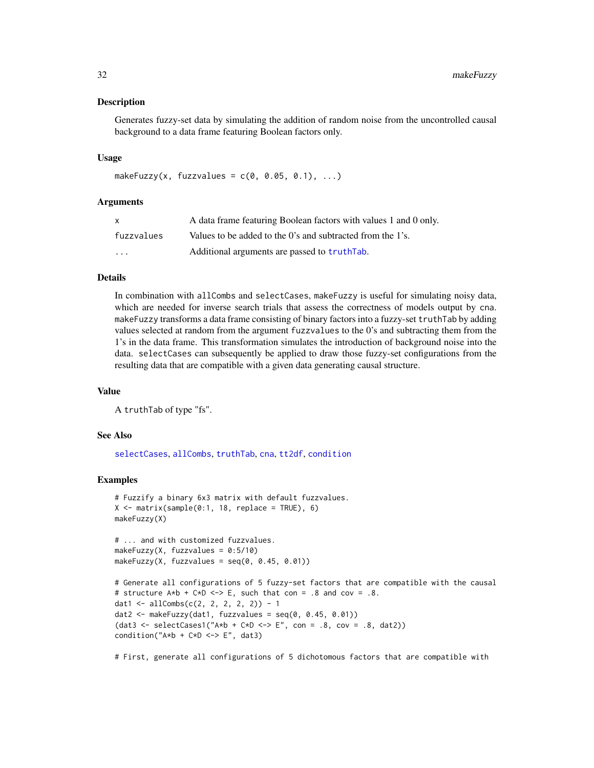# <span id="page-31-0"></span>Description

Generates fuzzy-set data by simulating the addition of random noise from the uncontrolled causal background to a data frame featuring Boolean factors only.

#### Usage

```
makeFuzzy(x, fuzzvalues = c(0, 0.05, 0.1), ...)
```
# Arguments

| x          | A data frame featuring Boolean factors with values 1 and 0 only. |
|------------|------------------------------------------------------------------|
| fuzzvalues | Values to be added to the 0's and subtracted from the 1's.       |
| $\cdots$   | Additional arguments are passed to truth ab.                     |

# Details

In combination with allCombs and selectCases, makeFuzzy is useful for simulating noisy data, which are needed for inverse search trials that assess the correctness of models output by cna. makeFuzzy transforms a data frame consisting of binary factors into a fuzzy-set truthTab by adding values selected at random from the argument fuzzvalues to the 0's and subtracting them from the 1's in the data frame. This transformation simulates the introduction of background noise into the data. selectCases can subsequently be applied to draw those fuzzy-set configurations from the resulting data that are compatible with a given data generating causal structure.

#### Value

A truthTab of type "fs".

# See Also

[selectCases](#page-32-1), [allCombs](#page-3-1), [truthTab](#page-36-1), [cna](#page-4-1), [tt2df](#page-40-1), [condition](#page-16-1)

# Examples

```
# Fuzzify a binary 6x3 matrix with default fuzzvalues.
X \leq matrix(sample(0:1, 18, replace = TRUE), 6)
makeFuzzy(X)
```

```
# ... and with customized fuzzvalues.
makeFuzzy(X, fuzzvalues = 0:5/10)
makeFuzzy(X, fuzzvalues = seq(0, 0.45, 0.01))
```

```
# Generate all configurations of 5 fuzzy-set factors that are compatible with the causal
# structure A*b + C*D \le b = . Such that con = .8 and cov = .8.
dat1 <- allCombs(c(2, 2, 2, 2, 2)) - 1
dat2 <- makeFuzzy(dat1, fuzzvalues = seq(0, 0.45, 0.01))
(data < - selectCase1("A*b + C*b &lt; -&gt; E", con = .8, cov = .8, dat2))condition("A*b + C*D \iff E", dat3)
```
# First, generate all configurations of 5 dichotomous factors that are compatible with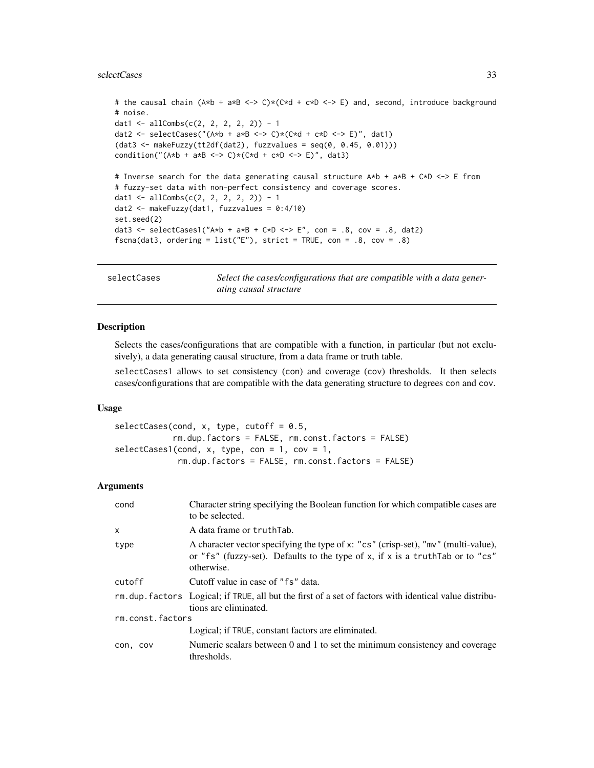#### <span id="page-32-0"></span>selectCases 33

```
# the causal chain (A*b + a*B <-> C)*(C*d + c*D <-> E) and, second, introduce background
# noise.
dat1 <- allCombs(c(2, 2, 2, 2, 2)) - 1
dat2 <- selectCases("(A*b + a*B \iff C)*(C*d + c*D \iff E)", dat1)
(data < - makeFuzzy(t12df(data), fuzzvalues = seq(0, 0.45, 0.01)))condition("(A*b + a*B \iff C)> (\forall d + c*D \iff E)", dat3)
# Inverse search for the data generating causal structure A*b + a*B + C*D <-> E from
# fuzzy-set data with non-perfect consistency and coverage scores.
dat1 <- allCombs(c(2, 2, 2, 2, 2)) - 1
dat2 <- makeFuzzy(dat1, fuzzvalues = 0:4/10)
set.seed(2)
dat3 <- selectCases1("A*b + a*B + C*D <-> E", con = .8, cov = .8, dat2)
fscna(dat3, ordering = list("E"), strict = TRUE, con = .8, cov = .8)
```
<span id="page-32-1"></span>selectCases *Select the cases/configurations that are compatible with a data generating causal structure*

# Description

Selects the cases/configurations that are compatible with a function, in particular (but not exclusively), a data generating causal structure, from a data frame or truth table.

selectCases1 allows to set consistency (con) and coverage (cov) thresholds. It then selects cases/configurations that are compatible with the data generating structure to degrees con and cov.

# Usage

```
selectCases(cond, x, type, cutoff = 0.5,rm.dup.factors = FALSE, rm.const.factors = FALSE)
selectCases1(cond, x, type, con = 1, cov = 1,rm.dup.factors = FALSE, rm.const.factors = FALSE)
```
# Arguments

| cond             | Character string specifying the Boolean function for which compatible cases are<br>to be selected.                                                                                 |  |
|------------------|------------------------------------------------------------------------------------------------------------------------------------------------------------------------------------|--|
| x                | A data frame or truthTab.                                                                                                                                                          |  |
| type             | A character vector specifying the type of x: "cs" (crisp-set), "mv" (multi-value),<br>or "fs" (fuzzy-set). Defaults to the type of x, if x is a truth Tab or to "cs"<br>otherwise. |  |
| cutoff           | Cutoff value in case of "fs" data.                                                                                                                                                 |  |
|                  | rm dup factors Logical; if TRUE, all but the first of a set of factors with identical value distribu-<br>tions are eliminated.                                                     |  |
| rm.const.factors |                                                                                                                                                                                    |  |
|                  | Logical; if TRUE, constant factors are eliminated.                                                                                                                                 |  |
| con, cov         | Numeric scalars between 0 and 1 to set the minimum consistency and coverage<br>thresholds.                                                                                         |  |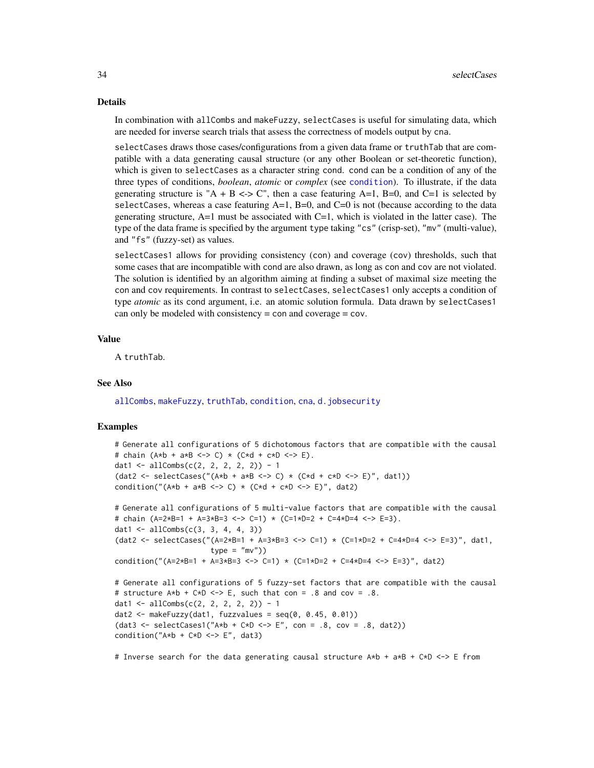#### <span id="page-33-0"></span>Details

In combination with allCombs and makeFuzzy, selectCases is useful for simulating data, which are needed for inverse search trials that assess the correctness of models output by cna.

selectCases draws those cases/configurations from a given data frame or truthTab that are compatible with a data generating causal structure (or any other Boolean or set-theoretic function), which is given to selectCases as a character string cond. cond can be a condition of any of the three types of conditions, *boolean*, *atomic* or *complex* (see [condition](#page-16-1)). To illustrate, if the data generating structure is "A + B <-> C", then a case featuring A=1, B=0, and C=1 is selected by selectCases, whereas a case featuring  $A=1$ ,  $B=0$ , and  $C=0$  is not (because according to the data generating structure,  $A=1$  must be associated with  $C=1$ , which is violated in the latter case). The type of the data frame is specified by the argument type taking "cs" (crisp-set), "mv" (multi-value), and "fs" (fuzzy-set) as values.

selectCases1 allows for providing consistency (con) and coverage (cov) thresholds, such that some cases that are incompatible with cond are also drawn, as long as con and cov are not violated. The solution is identified by an algorithm aiming at finding a subset of maximal size meeting the con and cov requirements. In contrast to selectCases, selectCases1 only accepts a condition of type *atomic* as its cond argument, i.e. an atomic solution formula. Data drawn by selectCases1 can only be modeled with consistency = con and coverage = cov.

# Value

A truthTab.

# See Also

[allCombs](#page-3-1), [makeFuzzy](#page-30-1), [truthTab](#page-36-1), [condition](#page-16-1), [cna](#page-4-1), [d.jobsecurity](#page-26-1)

# Examples

```
# Generate all configurations of 5 dichotomous factors that are compatible with the causal
# chain (A*b + a*B <-> C) * (C*d + c*D <-> E).
dat1 <- allCombs(c(2, 2, 2, 2, 2)) - 1
(dat2 <- selectCases("(A*b + a*B <-> C) * (C*d + c*D <-> E)", dat1))
condition("(A*b + a*B \leq S) * (C*d + c*D \leq S)", dat2)
```

```
# Generate all configurations of 5 multi-value factors that are compatible with the causal
# chain (A=2*B=1 + A=3*B=3 <-> C=1) * (C=1*D=2 + C=4*D=4 <-> E=3).
dat1 <- allCombs(c(3, 3, 4, 4, 3))(dat2 <- selectCases("(A=2*B=1 + A=3*B=3 <-> C=1) * (C=1*D=2 + C=4*D=4 <-> E=3)", dat1,
                      type = "mv"))
condition("(A=2*B=1 + A=3*B=3 <-> C=1) * (C=1*D=2 + C=4*D=4 <-> E=3)", dat2)
```

```
# Generate all configurations of 5 fuzzy-set factors that are compatible with the causal
# structure A*b + C*b \leq b = \geq E, such that con = .8 and cov = .8.
dat1 <- allCombs(c(2, 2, 2, 2, 2)) - 1
dat2 \leq makeFuzzy(dat1, fuzzvalues = seq(0, 0.45, 0.01))
(data3 \leq selectCases1("A*b + C*D \leq P \leq m) \leq .8, cov = .8, dat2))condition("A*b + C*D \iff E", dat3)
```
# Inverse search for the data generating causal structure A\*b + a\*B + C\*D <-> E from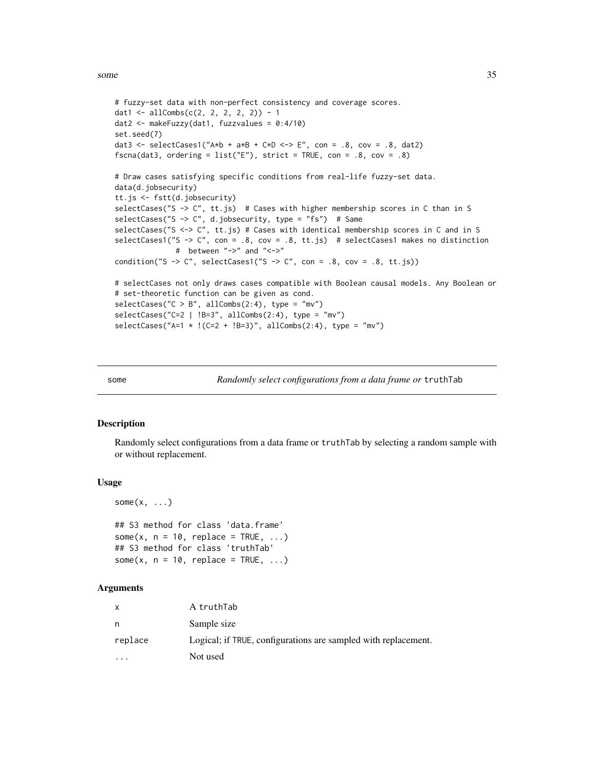```
# fuzzy-set data with non-perfect consistency and coverage scores.
dat1 <- allCombs(c(2, 2, 2, 2, 2)) - 1
dat2 <- makeFuzzy(dat1, fuzzvalues = 0:4/10)
set.seed(7)
dat3 <- selectCases1("A*b + a*B + C*D <-> E", con = .8, cov = .8, dat2)
fscna(dat3, ordering = list("E"), strict = TRUE, con = .8, cov = .8)
# Draw cases satisfying specific conditions from real-life fuzzy-set data.
data(d.jobsecurity)
tt.js <- fstt(d.jobsecurity)
selectCases("S -> C", tt.js) # Cases with higher membership scores in C than in S
selectCases("S -> C", d.jobsecurity, type = "fs") # Same
selectCases("S <-> C", tt.js) # Cases with identical membership scores in C and in S
selectCases1("S -> C", con = .8, cov = .8, tt.js) # selectCases1 makes no distinction
              # between "->" and "<->"
condition("S -> C", selectCases1("S -> C", con = .8, cov = .8, tt.js))
# selectCases not only draws cases compatible with Boolean causal models. Any Boolean or
# set-theoretic function can be given as cond.
selectCase("C > B", allCombs(2:4), type = "mv")selectCases("C=2 | !B=3", allCombs(2:4), type = "mv")
selectCases("A=1 * !(C=2 + !B=3)", allCombs(2:4), type = "mv")
```
<span id="page-34-1"></span>some *Randomly select configurations from a data frame or* truthTab

#### **Description**

Randomly select configurations from a data frame or truthTab by selecting a random sample with or without replacement.

#### Usage

```
some(x, \ldots)
```

```
## S3 method for class 'data.frame'
some(x, n = 10, replace = TRUE, ...)
## S3 method for class 'truthTab'
some(x, n = 10, replace = TRUE, ...)
```
#### Arguments

| X                       | A truthTab                                                     |
|-------------------------|----------------------------------------------------------------|
| n                       | Sample size                                                    |
| replace                 | Logical; if TRUE, configurations are sampled with replacement. |
| $\cdot$ $\cdot$ $\cdot$ | Not used                                                       |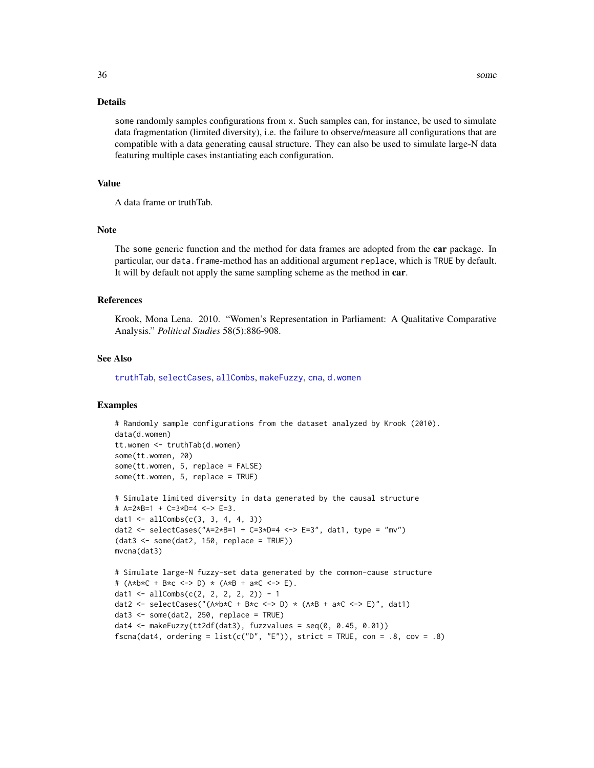# Details

some randomly samples configurations from x. Such samples can, for instance, be used to simulate data fragmentation (limited diversity), i.e. the failure to observe/measure all configurations that are compatible with a data generating causal structure. They can also be used to simulate large-N data featuring multiple cases instantiating each configuration.

#### Value

A data frame or truthTab.

# Note

The some generic function and the method for data frames are adopted from the **car** package. In particular, our data. frame-method has an additional argument replace, which is TRUE by default. It will by default not apply the same sampling scheme as the method in car.

#### References

Krook, Mona Lena. 2010. "Women's Representation in Parliament: A Qualitative Comparative Analysis." *Political Studies* 58(5):886-908.

# See Also

[truthTab](#page-36-1), [selectCases](#page-32-1), [allCombs](#page-3-1), [makeFuzzy](#page-30-1), [cna](#page-4-1), [d.women](#page-30-2)

# Examples

```
# Randomly sample configurations from the dataset analyzed by Krook (2010).
data(d.women)
tt.women <- truthTab(d.women)
some(tt.women, 20)
some(tt.women, 5, replace = FALSE)
some(tt.women, 5, replace = TRUE)
# Simulate limited diversity in data generated by the causal structure
# A=2*B=1 + C=3*D=4 <-> E=3.
dat1 <- allCombs(c(3, 3, 4, 4, 3))dat2 <- selectCases("A=2*B=1 + C=3*D=4 <-> E=3", dat1, type = "mv")
(data3 < - some(data, 150, replace = TRUE))mvcna(dat3)
# Simulate large-N fuzzy-set data generated by the common-cause structure
# (A*b*C + B*c <-> D) * (A*B + a*C <-> E).
dat1 <- allCombs(c(2, 2, 2, 2, 2)) - 1
dat2 <- selectCases("(A*b*C + B*c \leq b) * (A*B + a*C \leq b", dat1)
```
dat $3 \leq$  some(dat $2$ , 250, replace = TRUE)

```
dat4 <- makeFuzzy(tt2df(dat3), fuzzvalues = seq(0, 0.45, 0.01))
fscna(dat4, ordering = list(c("D", "E")), strict = TRUE, con = .8, cov = .8)
```
<span id="page-35-0"></span>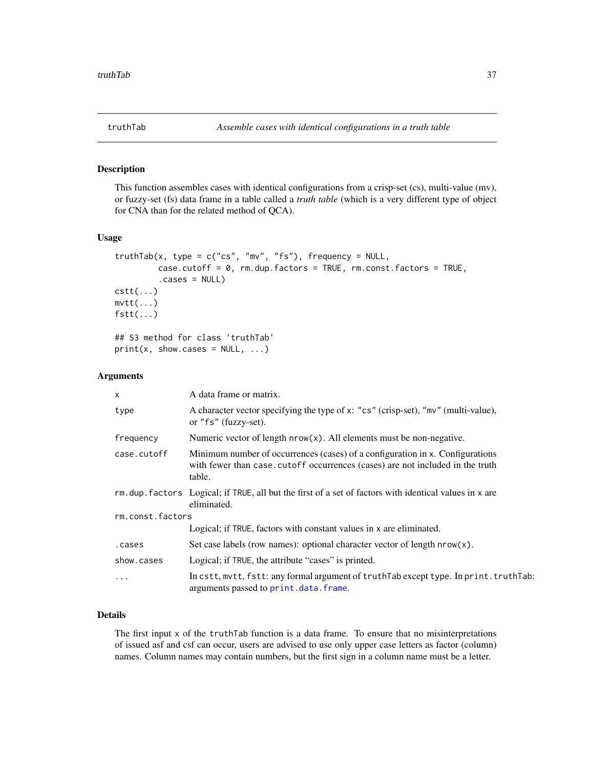<span id="page-36-1"></span><span id="page-36-0"></span>

# <span id="page-36-2"></span>Description

This function assembles cases with identical configurations from a crisp-set (cs), multi-value (mv), or fuzzy-set (fs) data frame in a table called a *truth table* (which is a very different type of object for CNA than for the related method of QCA).

# Usage

```
truthTab(x, type = c("cs", "mv", "fs"), frequency = NULL,
        case.cutoff = 0, rm.dup.factors = TRUE, rm.const.factors = TRUE,
         .cases = NULL)
cstt(...)
mvtt(...)fstt(...)## S3 method for class 'truthTab'
print(x, show.cases = NULL, ...)
```
# Arguments

| $\mathsf{x}$     | A data frame or matrix.                                                                                                                                                   |  |
|------------------|---------------------------------------------------------------------------------------------------------------------------------------------------------------------------|--|
| type             | A character vector specifying the type of x: "cs" (crisp-set), "mv" (multi-value),<br>or "fs" (fuzzy-set).                                                                |  |
| frequency        | Numeric vector of length $nrow(x)$ . All elements must be non-negative.                                                                                                   |  |
| case.cutoff      | Minimum number of occurrences (cases) of a configuration in x. Configurations<br>with fewer than case, cutoff occurrences (cases) are not included in the truth<br>table. |  |
|                  | $rm.$ dup. factors Logical; if TRUE, all but the first of a set of factors with identical values in $x$ are<br>eliminated.                                                |  |
| rm.const.factors |                                                                                                                                                                           |  |
|                  | Logical; if TRUE, factors with constant values in x are eliminated.                                                                                                       |  |
| .cases           | Set case labels (row names): optional character vector of length $nrow(x)$ .                                                                                              |  |
| show.cases       | Logical; if TRUE, the attribute "cases" is printed.                                                                                                                       |  |
| $\cdots$         | In cstt, mytt, fstt: any formal argument of truth Tab except type. In print. truth Tab:<br>arguments passed to print.data.frame.                                          |  |

# Details

The first input x of the truthTab function is a data frame. To ensure that no misinterpretations of issued asf and csf can occur, users are advised to use only upper case letters as factor (column) names. Column names may contain numbers, but the first sign in a column name must be a letter.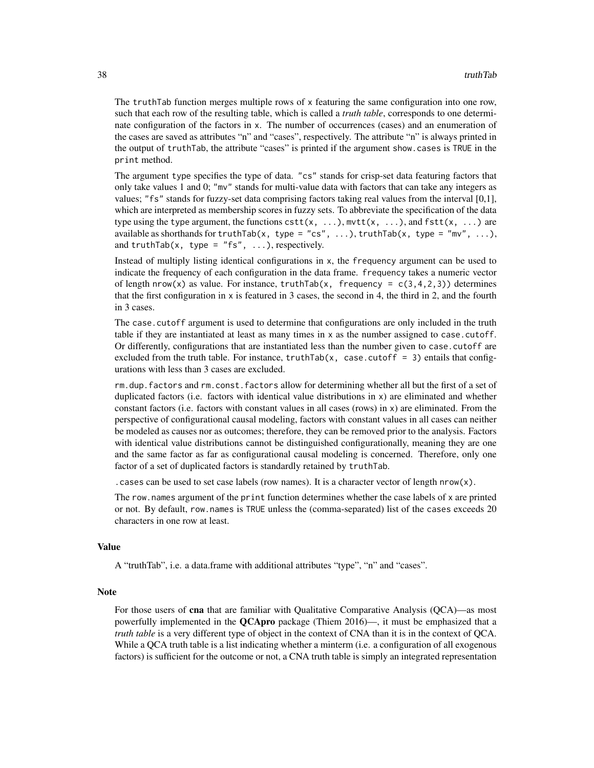The truthTab function merges multiple rows of x featuring the same configuration into one row, such that each row of the resulting table, which is called a *truth table*, corresponds to one determinate configuration of the factors in x. The number of occurrences (cases) and an enumeration of the cases are saved as attributes "n" and "cases", respectively. The attribute "n" is always printed in the output of truthTab, the attribute "cases" is printed if the argument show.cases is TRUE in the print method.

The argument type specifies the type of data. "cs" stands for crisp-set data featuring factors that only take values 1 and 0; "mv" stands for multi-value data with factors that can take any integers as values; "fs" stands for fuzzy-set data comprising factors taking real values from the interval [0,1], which are interpreted as membership scores in fuzzy sets. To abbreviate the specification of the data type using the type argument, the functions  $\text{cstt}(x, \ldots)$ ,  $\text{mvtt}(x, \ldots)$ , and  $\text{fstt}(x, \ldots)$  are available as shorthands for truthTab(x, type = "cs", ...), truthTab(x, type = "mv", ...), and truthTab(x, type = "fs",  $\dots$ ), respectively.

Instead of multiply listing identical configurations in x, the frequency argument can be used to indicate the frequency of each configuration in the data frame. frequency takes a numeric vector of length nrow(x) as value. For instance, truthTab(x, frequency =  $c(3,4,2,3)$ ) determines that the first configuration in x is featured in 3 cases, the second in 4, the third in 2, and the fourth in 3 cases.

The case, cutoff argument is used to determine that configurations are only included in the truth table if they are instantiated at least as many times in x as the number assigned to case.cutoff. Or differently, configurations that are instantiated less than the number given to case.cutoff are excluded from the truth table. For instance, truthTab(x, case.cutoff = 3) entails that configurations with less than 3 cases are excluded.

rm.dup.factors and rm.const.factors allow for determining whether all but the first of a set of duplicated factors (i.e. factors with identical value distributions in x) are eliminated and whether constant factors (i.e. factors with constant values in all cases (rows) in x) are eliminated. From the perspective of configurational causal modeling, factors with constant values in all cases can neither be modeled as causes nor as outcomes; therefore, they can be removed prior to the analysis. Factors with identical value distributions cannot be distinguished configurationally, meaning they are one and the same factor as far as configurational causal modeling is concerned. Therefore, only one factor of a set of duplicated factors is standardly retained by truthTab.

. cases can be used to set case labels (row names). It is a character vector of length  $nrow(x)$ .

The row.names argument of the print function determines whether the case labels of x are printed or not. By default, row.names is TRUE unless the (comma-separated) list of the cases exceeds 20 characters in one row at least.

#### Value

A "truthTab", i.e. a data.frame with additional attributes "type", "n" and "cases".

# Note

For those users of cna that are familiar with Qualitative Comparative Analysis (QCA)—as most powerfully implemented in the **OCApro** package (Thiem  $2016$ )—, it must be emphasized that a *truth table* is a very different type of object in the context of CNA than it is in the context of QCA. While a QCA truth table is a list indicating whether a minterm (i.e. a configuration of all exogenous factors) is sufficient for the outcome or not, a CNA truth table is simply an integrated representation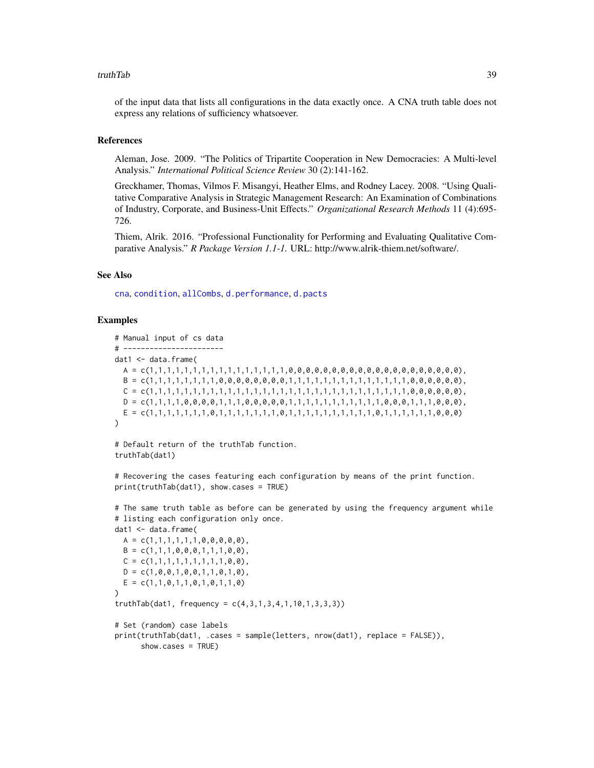#### <span id="page-38-0"></span>truthTab 39

of the input data that lists all configurations in the data exactly once. A CNA truth table does not express any relations of sufficiency whatsoever.

#### References

Aleman, Jose. 2009. "The Politics of Tripartite Cooperation in New Democracies: A Multi-level Analysis." *International Political Science Review* 30 (2):141-162.

Greckhamer, Thomas, Vilmos F. Misangyi, Heather Elms, and Rodney Lacey. 2008. "Using Qualitative Comparative Analysis in Strategic Management Research: An Examination of Combinations of Industry, Corporate, and Business-Unit Effects." *Organizational Research Methods* 11 (4):695- 726.

Thiem, Alrik. 2016. "Professional Functionality for Performing and Evaluating Qualitative Comparative Analysis." *R Package Version 1.1-1.* URL: http://www.alrik-thiem.net/software/.

# See Also

[cna](#page-4-1), [condition](#page-16-1), [allCombs](#page-3-1), [d.performance](#page-28-2), [d.pacts](#page-27-1)

# Examples

```
# Manual input of cs data
# -----------------------
dat1 <- data.frame(
  A = c(1,1,1,1,1,1,1,1,1,1,1,1,1,1,1,1,0,0,0,0,0,0,0,0,0,0,0,0,0,0,0,0,0,0,0,0),
  B = c(1,1,1,1,1,1,1,1,0,0,0,0,0,0,0,0,1,1,1,1,1,1,1,1,1,1,1,1,1,1,0,0,0,0,0,0),
  C = c(1,1,1,1,1,1,1,1,1,1,1,1,1,1,1,1,1,1,1,1,1,1,1,1,1,1,1,1,1,1,0,0,0,0,0,0),
  D = c(1,1,1,1,0,0,0,0,0,1,1,1,0,0,0,0,0,1,1,1,1,1,1,1,1,1,1,1,0,0,0,1,1,1,0,0,0),E = c(1,1,1,1,1,1,1,0,1,1,1,1,1,1,1,0,1,1,1,1,1,1,1,1,1,1,0,1,1,1,1,1,1,0,0,0)
)
```
# Default return of the truthTab function. truthTab(dat1)

# Recovering the cases featuring each configuration by means of the print function. print(truthTab(dat1), show.cases = TRUE)

```
# The same truth table as before can be generated by using the frequency argument while
# listing each configuration only once.
dat1 <- data.frame(
 A = c(1,1,1,1,1,1,0,0,0,0,0)B = c(1,1,1,0,0,0,1,1,1,0,0),
 C = c(1,1,1,1,1,1,1,1,1,0,0),
 D = c(1, 0, 0, 1, 0, 0, 1, 1, 0, 1, 0),
 E = c(1,1,0,1,1,0,1,0,1,1,0)\lambdatruthTab(data1, frequency = c(4,3,1,3,4,1,10,1,3,3,3))# Set (random) case labels
```

```
print(truthTab(dat1, .cases = sample(letters, nrow(dat1), replace = FALSE)),
     show.cases = TRUE)
```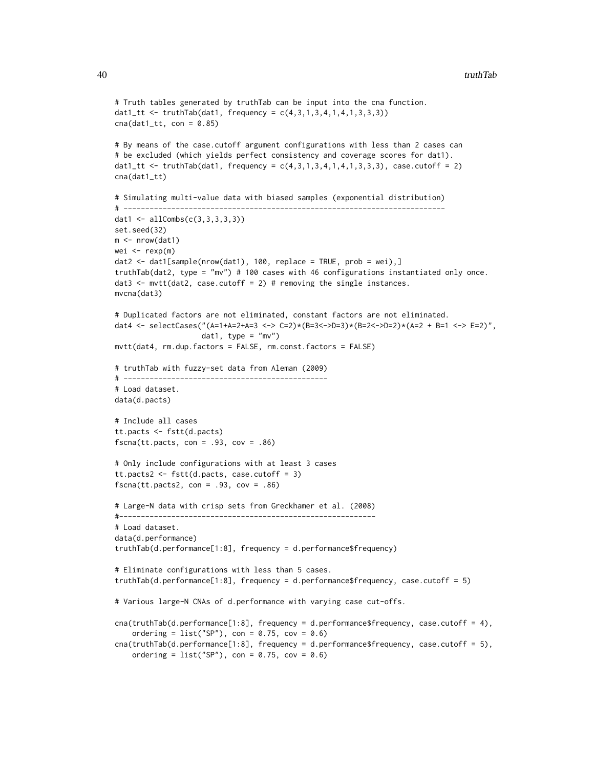```
# Truth tables generated by truthTab can be input into the cna function.
dat1_t <= truthTab(data1, frequency = c(4,3,1,3,4,1,4,1,3,3,3))cna(data_1_t, con = 0.85)# By means of the case.cutoff argument configurations with less than 2 cases can
# be excluded (which yields perfect consistency and coverage scores for dat1).
dat1_tt <- truthTab(dat1, frequency = c(4,3,1,3,4,1,4,1,3,3,3), case.cutoff = 2)
cna(dat1_tt)
# Simulating multi-value data with biased samples (exponential distribution)
# --------------------------------------------------------------------------
dat1 <- allCombs(c(3,3,3,3,3))set.seed(32)
m < - nrow(dat1)
wei \leq rexp(m)
data \leftarrow data[sample(nrow(data1), 100, replace = TRUE, prob = wei),]truthTab(dat2, type = "mv") # 100 cases with 46 configurations instantiated only once.
dat3 \leq mvtt(dat2, case.cutoff = 2) # removing the single instances.
mvcna(dat3)
# Duplicated factors are not eliminated, constant factors are not eliminated.
dat4 <- selectCases("(A=1+A=2+A=3 <-> C=2)*(B=3<->D=3)*(B=2<->D=2)*(A=2 + B=1 <-> E=2)",
                    dat1, type = m v")
mvtt(dat4, rm.dup.factors = FALSE, rm.const.factors = FALSE)
# truthTab with fuzzy-set data from Aleman (2009)
# -----------------------------------------------
# Load dataset.
data(d.pacts)
# Include all cases
tt.pacts <- fstt(d.pacts)
fscna(tt.pacts, con = .93, cov = .86)
# Only include configurations with at least 3 cases
tt.pacts2 <- fstt(d.pacts, case.cutoff = 3)
fscna(tt.pacts2, con = .93, cov = .86)
# Large-N data with crisp sets from Greckhamer et al. (2008)
#-----------------------------------------------------------
# Load dataset.
data(d.performance)
truthTab(d.performance[1:8], frequency = d.performance$frequency)
# Eliminate configurations with less than 5 cases.
truthTab(d.performance[1:8], frequency = d.performance$frequency, case.cutoff = 5)
# Various large-N CNAs of d.performance with varying case cut-offs.
cna(truthTab(d.performance[1:8], frequency = d.performance$frequency, case.cutoff = 4),
    ordering = list("SP"), con = 0.75, cov = 0.6)
cna(truthTab(d.performance[1:8], frequency = d.performance$frequency, case.cutoff = 5),
    ordering = list("SP"), con = 0.75, cov = 0.6)
```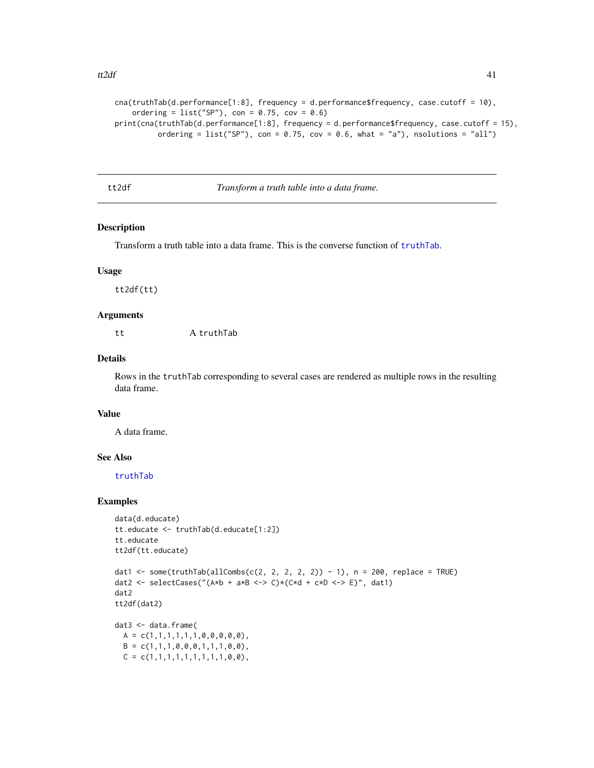```
cna(truthTab(d.performance[1:8], frequency = d.performance$frequency, case.cutoff = 10),
    ordering = list("SP"), con = 0.75, cov = 0.6)
print(cna(truthTab(d.performance[1:8], frequency = d.performance$frequency, case.cutoff = 15),
         ordering = list("SP"), con = 0.75, cov = 0.6, what = "a"), nsolutions = "all")
```
<span id="page-40-1"></span>tt2df *Transform a truth table into a data frame.*

# Description

Transform a truth table into a data frame. This is the converse function of [truthTab](#page-36-1).

# Usage

tt2df(tt)

# Arguments

tt A truthTab

# Details

Rows in the truthTab corresponding to several cases are rendered as multiple rows in the resulting data frame.

# Value

A data frame.

# See Also

[truthTab](#page-36-1)

# Examples

```
data(d.educate)
tt.educate <- truthTab(d.educate[1:2])
tt.educate
tt2df(tt.educate)
```

```
dat1 <- some(truthTab(allCombs(c(2, 2, 2, 2, 2)) - 1), n = 200, replace = TRUE)
dat2 <- selectCases("(A*b + a*B <-> C)*(C*d + c*D <-> E)", dat1)
dat2
tt2df(dat2)
```
dat3 <- data.frame(  $A = c(1,1,1,1,1,1,0,0,0,0,0)$ ,  $B = c(1,1,1,0,0,0,1,1,1,0,0)$ ,  $C = c(1,1,1,1,1,1,1,1,1,0,0)$ ,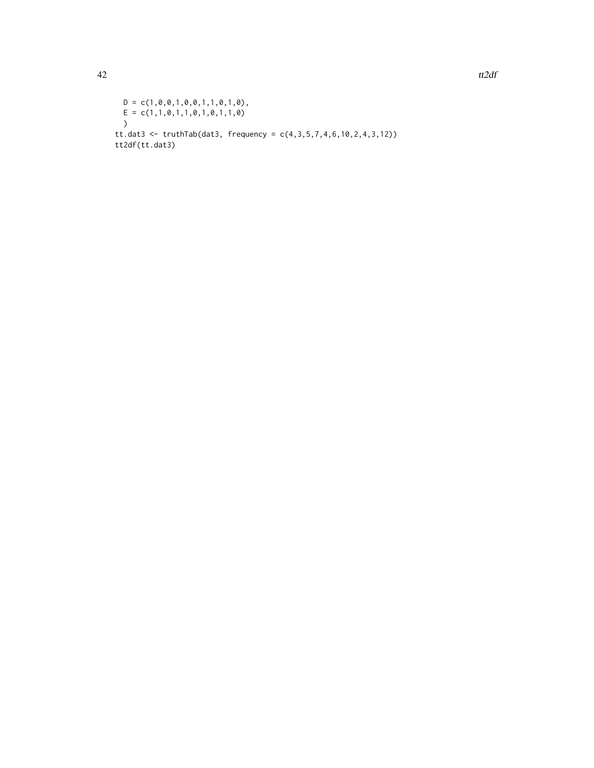$D = c(1, 0, 0, 1, 0, 0, 1, 1, 0, 1, 0)$ ,  $E = c(1,1,0,1,1,0,1,0,1,1,0)$ ) tt.dat3 <- truthTab(dat3, frequency =  $c(4,3,5,7,4,6,10,2,4,3,12)$ ) tt2df(tt.dat3)